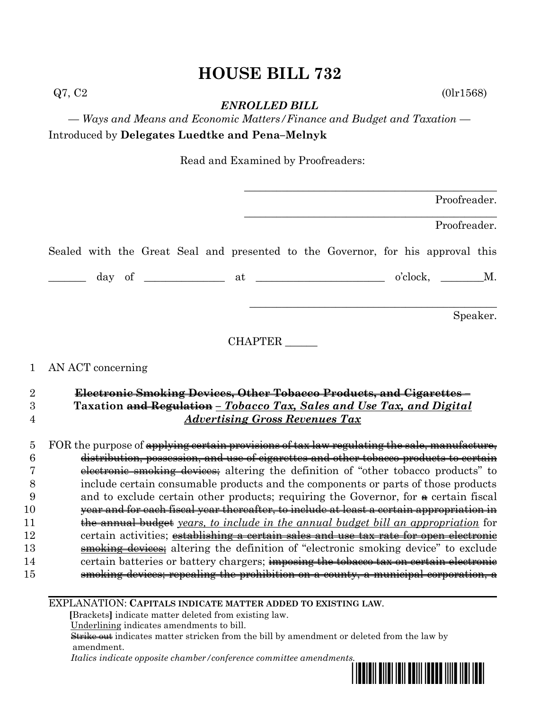*ENROLLED BILL*

*— Ways and Means and Economic Matters/Finance and Budget and Taxation —* Introduced by **Delegates Luedtke and Pena–Melnyk**

Read and Examined by Proofreaders:

|                | Proofreader.                                                                                                                            |
|----------------|-----------------------------------------------------------------------------------------------------------------------------------------|
|                | Proofreader.                                                                                                                            |
|                | Sealed with the Great Seal and presented to the Governor, for his approval this                                                         |
|                | $\frac{1}{\text{day of}}$ of $\frac{1}{\text{day}}$ at $\frac{1}{\text{day}}$ at $\frac{1}{\text{day}}$ o'clock, $\frac{1}{\text{day}}$ |
|                | Speaker.                                                                                                                                |
|                | CHAPTER                                                                                                                                 |
| $\mathbf{1}$   | AN ACT concerning                                                                                                                       |
| $\overline{2}$ | Electronic Smoking Devices, Other Tobacco Products, and Cigarettes-                                                                     |
| 3              | Taxation and Regulation - Tobacco Tax, Sales and Use Tax, and Digital                                                                   |
| 4              | <b>Advertising Gross Revenues Tax</b>                                                                                                   |

5 FOR the purpose of <del>applying certain provisions of tax law regulating the sale, manufacture,</del> distribution, possession, and use of cigarettes and other tobacco products to certain electronic smoking devices; altering the definition of "other tobacco products" to include certain consumable products and the components or parts of those products 9 and to exclude certain other products; requiring the Governor, for  $\ast$  certain fiscal year and for each fiscal year thereafter, to include at least a certain appropriation in the annual budget *years, to include in the annual budget bill an appropriation* for 12 certain activities; establishing a certain sales and use tax rate for open electronic **smoking devices**; altering the definition of "electronic smoking device" to exclude 14 certain batteries or battery chargers; imposing the tobacco tax on certain electronic smoking devices; repealing the prohibition on a county, a municipal corporation, a

EXPLANATION: **CAPITALS INDICATE MATTER ADDED TO EXISTING LAW**.

 **[**Brackets**]** indicate matter deleted from existing law.

Underlining indicates amendments to bill.

 Strike out indicates matter stricken from the bill by amendment or deleted from the law by amendment.

 *Italics indicate opposite chamber/conference committee amendments.*



 $Q7, C2$  (0lr1568)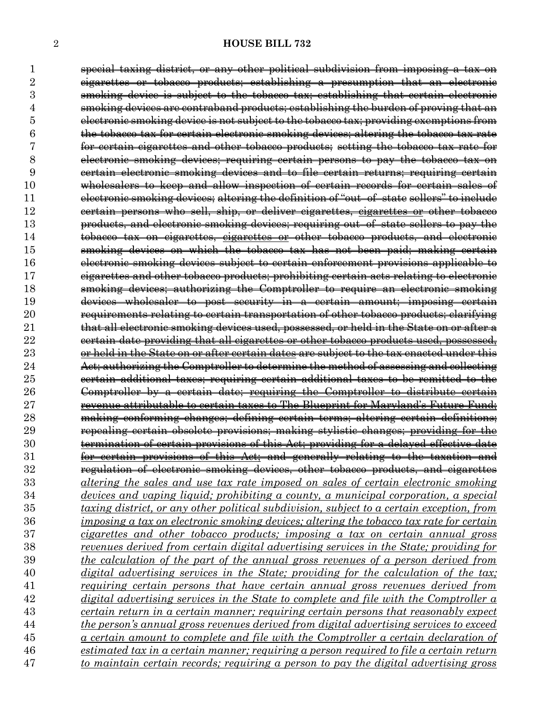special taxing district, or any other political subdivision from imposing a tax on cigarettes or tobacco products; establishing a presumption that an electronic smoking device is subject to the tobacco tax; establishing that certain electronic smoking devices are contraband products; establishing the burden of proving that an electronic smoking device is not subject to the tobacco tax; providing exemptions from the tobacco tax for certain electronic smoking devices; altering the tobacco tax rate for certain cigarettes and other tobacco products; setting the tobacco tax rate for electronic smoking devices; requiring certain persons to pay the tobacco tax on certain electronic smoking devices and to file certain returns; requiring certain wholesalers to keep and allow inspection of certain records for certain sales of electronic smoking devices; altering the definition of "out–of–state sellers" to include certain persons who sell, ship, or deliver cigarettes, cigarettes or other tobacco products, and electronic smoking devices; requiring out–of–state sellers to pay the tobacco tax on cigarettes, cigarettes or other tobacco products, and electronic smoking devices on which the tobacco tax has not been paid; making certain electronic smoking devices subject to certain enforcement provisions applicable to cigarettes and other tobacco products; prohibiting certain acts relating to electronic smoking devices; authorizing the Comptroller to require an electronic smoking devices wholesaler to post security in a certain amount; imposing certain **requirements relating to certain transportation of other tobacco products; clarifying** 21 that all electronic smoking devices used, possessed, or held in the State on or after a **certain date providing that all cigarettes or other tobacco products used, possessed,** 23 or held in the State on or after certain dates are subject to the tax enacted under this 24 Act: authorizing the Comptroller to determine the method of assessing and collecting certain additional taxes; requiring certain additional taxes to be remitted to the Comptroller by a certain date; requiring the Comptroller to distribute certain revenue attributable to certain taxes to The Blueprint for Maryland's Future Fund; making conforming changes; defining certain terms; altering certain definitions; repealing certain obsolete provisions; making stylistic changes; providing for the termination of certain provisions of this Act; providing for a delayed effective date for certain provisions of this Act; and generally relating to the taxation and regulation of electronic smoking devices, other tobacco products, and cigarettes *altering the sales and use tax rate imposed on sales of certain electronic smoking devices and vaping liquid; prohibiting a county, a municipal corporation, a special taxing district, or any other political subdivision, subject to a certain exception, from imposing a tax on electronic smoking devices; altering the tobacco tax rate for certain cigarettes and other tobacco products; imposing a tax on certain annual gross revenues derived from certain digital advertising services in the State; providing for the calculation of the part of the annual gross revenues of a person derived from digital advertising services in the State; providing for the calculation of the tax; requiring certain persons that have certain annual gross revenues derived from digital advertising services in the State to complete and file with the Comptroller a certain return in a certain manner; requiring certain persons that reasonably expect the person's annual gross revenues derived from digital advertising services to exceed a certain amount to complete and file with the Comptroller a certain declaration of estimated tax in a certain manner; requiring a person required to file a certain return to maintain certain records; requiring a person to pay the digital advertising gross*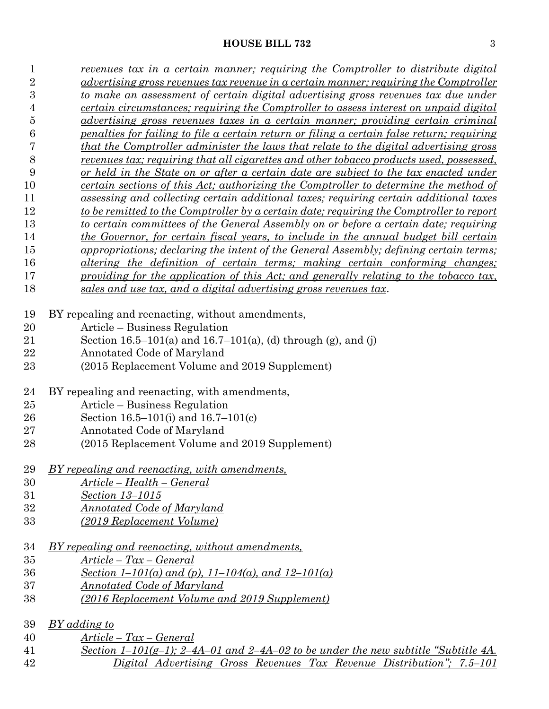| 1              | revenues tax in a certain manner; requiring the Comptroller to distribute digital               |
|----------------|-------------------------------------------------------------------------------------------------|
| $\overline{2}$ | advertising gross revenues tax revenue in a certain manner; requiring the Comptroller           |
| $\overline{3}$ | to make an assessment of certain digital advertising gross revenues tax due under               |
| 4              | <u>certain circumstances; requiring the Comptroller to assess interest on unpaid digital</u>    |
| 5              | advertising gross revenues taxes in a certain manner; providing certain criminal                |
| 6              | penalties for failing to file a certain return or filing a certain false return; requiring      |
| 7              | that the Comptroller administer the laws that relate to the digital advertising gross           |
| $8\,$          | revenues tax; requiring that all cigarettes and other tobacco products used, possessed,         |
| 9              | or held in the State on or after a certain date are subject to the tax enacted under            |
| 10             | certain sections of this Act; authorizing the Comptroller to determine the method of            |
| 11             | assessing and collecting certain additional taxes; requiring certain additional taxes           |
| 12             | <u>to be remitted to the Comptroller by a certain date; requiring the Comptroller to report</u> |
| 13             | to certain committees of the General Assembly on or before a certain date; requiring            |
|                |                                                                                                 |
| 14             | the Governor, for certain fiscal years, to include in the annual budget bill certain            |
| 15             | appropriations; declaring the intent of the General Assembly; defining certain terms;           |
| 16             | altering the definition of certain terms; making certain conforming changes;                    |
| 17             | providing for the application of this Act; and generally relating to the tobacco tax,           |
| 18             | sales and use tax, and a digital advertising gross revenues tax.                                |
| 19             | BY repealing and reenacting, without amendments,                                                |
| 20             | Article – Business Regulation                                                                   |
| 21             | Section 16.5–101(a) and 16.7–101(a), (d) through (g), and (j)                                   |
| 22             | Annotated Code of Maryland                                                                      |
| 23             | (2015 Replacement Volume and 2019 Supplement)                                                   |
|                |                                                                                                 |
| 24             | BY repealing and reenacting, with amendments,                                                   |
| 25             | Article – Business Regulation                                                                   |
| 26             | Section 16.5–101(i) and 16.7–101(c)                                                             |
| 27             | Annotated Code of Maryland                                                                      |
| 28             | (2015 Replacement Volume and 2019 Supplement)                                                   |
| $\,29$         | BY repealing and reenacting, with amendments,                                                   |
|                |                                                                                                 |
| 30             | <u> Article – Health – General</u>                                                              |
| 31             | Section 13-1015                                                                                 |
| 32             | <u>Annotated Code of Maryland</u>                                                               |
| 33             | (2019 Replacement Volume)                                                                       |
| 34             | <u>BY repealing and reenacting, without amendments,</u>                                         |
| 35             | <u> Article – Tax – General</u>                                                                 |
| 36             | Section 1–101(a) and (p), 11–104(a), and 12–101(a)                                              |
| 37             | Annotated Code of Maryland                                                                      |
| 38             | (2016 Replacement Volume and 2019 Supplement)                                                   |
|                |                                                                                                 |
| 39             | BY adding to                                                                                    |
| 40             | $Article - Tax - General$                                                                       |
| 41             | Section 1–101(g-1); 2–4A–01 and 2–4A–02 to be under the new subtitle "Subtitle 4A.              |
| 42             | Digital Advertising Gross Revenues Tax Revenue Distribution"; 7.5–101                           |
|                |                                                                                                 |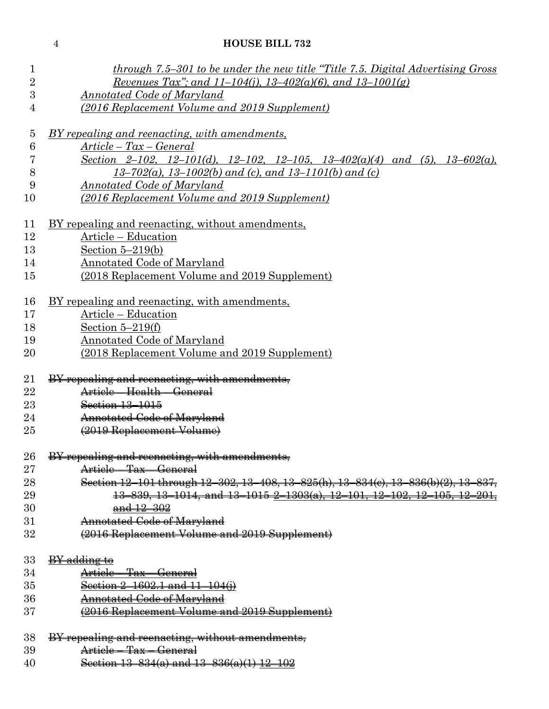| $\mathbf 1$    | through 7.5–301 to be under the new title "Title 7.5. Digital Advertising Gross"   |  |  |  |  |  |  |  |  |
|----------------|------------------------------------------------------------------------------------|--|--|--|--|--|--|--|--|
| $\overline{2}$ | Revenues Tax"; and 11-104(j), 13-402(a)(6), and 13-1001(g)                         |  |  |  |  |  |  |  |  |
| 3              | <b>Annotated Code of Maryland</b>                                                  |  |  |  |  |  |  |  |  |
| 4              | (2016 Replacement Volume and 2019 Supplement)                                      |  |  |  |  |  |  |  |  |
| $\overline{5}$ | BY repealing and reenacting, with amendments,                                      |  |  |  |  |  |  |  |  |
| 6              | $Article - Tax - General$                                                          |  |  |  |  |  |  |  |  |
| 7              | Section 2-102, 12-101(d), 12-102, 12-105, 13-402(a)(4) and (5), 13-602(a),         |  |  |  |  |  |  |  |  |
| 8              | $13-702(a)$ , 13-1002(b) and (c), and 13-1101(b) and (c)                           |  |  |  |  |  |  |  |  |
| 9              | <b>Annotated Code of Maryland</b>                                                  |  |  |  |  |  |  |  |  |
| 10             | (2016 Replacement Volume and 2019 Supplement)                                      |  |  |  |  |  |  |  |  |
| 11             | <u>BY repealing and reenacting, without amendments,</u>                            |  |  |  |  |  |  |  |  |
| 12             | Article - Education                                                                |  |  |  |  |  |  |  |  |
| 13             | Section $5-219(b)$                                                                 |  |  |  |  |  |  |  |  |
| 14             | Annotated Code of Maryland                                                         |  |  |  |  |  |  |  |  |
| 15             | (2018 Replacement Volume and 2019 Supplement)                                      |  |  |  |  |  |  |  |  |
|                |                                                                                    |  |  |  |  |  |  |  |  |
| 16             | <u>BY repealing and reenacting, with amendments,</u>                               |  |  |  |  |  |  |  |  |
| 17             | Article – Education                                                                |  |  |  |  |  |  |  |  |
| 18             | Section $5-219(f)$                                                                 |  |  |  |  |  |  |  |  |
| 19             | <b>Annotated Code of Maryland</b>                                                  |  |  |  |  |  |  |  |  |
| 20             | (2018 Replacement Volume and 2019 Supplement)                                      |  |  |  |  |  |  |  |  |
| 21             | BY repealing and reenacting, with amendments,                                      |  |  |  |  |  |  |  |  |
| 22             | Article - Health - General                                                         |  |  |  |  |  |  |  |  |
| 23             | Section 13-1015                                                                    |  |  |  |  |  |  |  |  |
| 24             | <b>Annotated Code of Maryland</b>                                                  |  |  |  |  |  |  |  |  |
| 25             | (2019 Replacement Volume)                                                          |  |  |  |  |  |  |  |  |
| 26             | BY repealing and reenacting, with amendments,                                      |  |  |  |  |  |  |  |  |
| $27\,$         | Article – Tax – General                                                            |  |  |  |  |  |  |  |  |
| $^{28}$        | Section 12-101 through 12-302, 13-408, 13-825(h), 13-834(c), 13-836(b)(2), 13-837, |  |  |  |  |  |  |  |  |
| 29             | 13-839, 13-1014, and 13-1015 2-1303(a), 12-101, 12-102, 12-105, 12-201,            |  |  |  |  |  |  |  |  |
| 30             | $and 12 - 302$                                                                     |  |  |  |  |  |  |  |  |
| 31             | Annotated Code of Maryland                                                         |  |  |  |  |  |  |  |  |
| 32             | (2016 Replacement Volume and 2019 Supplement)                                      |  |  |  |  |  |  |  |  |
| 33             | BY adding to                                                                       |  |  |  |  |  |  |  |  |
| 34             | Article – Tax – General                                                            |  |  |  |  |  |  |  |  |
| 35             | Section $2-1602.1$ and $11-104(i)$                                                 |  |  |  |  |  |  |  |  |
| 36             | Annotated Code of Maryland                                                         |  |  |  |  |  |  |  |  |
| 37             | (2016 Replacement Volume and 2019 Supplement)                                      |  |  |  |  |  |  |  |  |
|                |                                                                                    |  |  |  |  |  |  |  |  |
| 38             | BY repealing and reenacting, without amendments,                                   |  |  |  |  |  |  |  |  |
| 39             | Article - Tax - General                                                            |  |  |  |  |  |  |  |  |
| 40             | Section $13-834(a)$ and $13-836(a)(1)$ $12-102$                                    |  |  |  |  |  |  |  |  |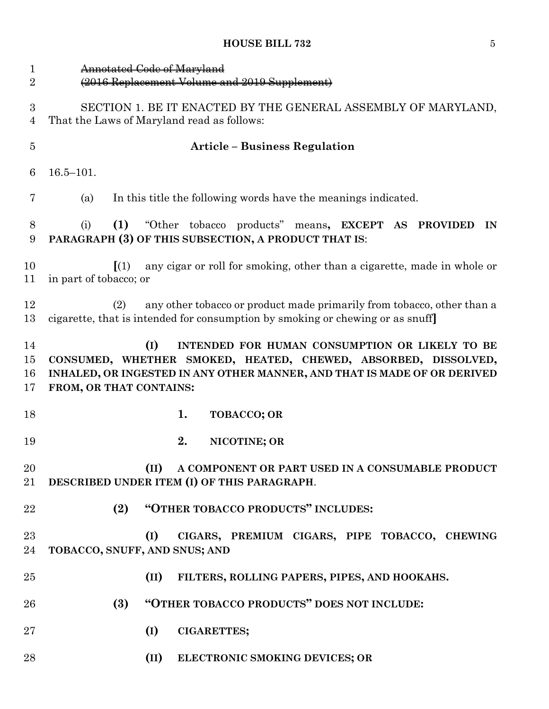| $\mathbf{1}$<br>$\overline{2}$     | Annotated Code of Maryland<br>(2016 Replacement Volume and 2019 Supplement)                                                                                                                                                    |  |  |  |  |  |  |  |
|------------------------------------|--------------------------------------------------------------------------------------------------------------------------------------------------------------------------------------------------------------------------------|--|--|--|--|--|--|--|
|                                    |                                                                                                                                                                                                                                |  |  |  |  |  |  |  |
| $\boldsymbol{3}$<br>$\overline{4}$ | SECTION 1. BE IT ENACTED BY THE GENERAL ASSEMBLY OF MARYLAND,<br>That the Laws of Maryland read as follows:                                                                                                                    |  |  |  |  |  |  |  |
| $\bf 5$                            | <b>Article – Business Regulation</b>                                                                                                                                                                                           |  |  |  |  |  |  |  |
| 6                                  | $16.5 - 101.$                                                                                                                                                                                                                  |  |  |  |  |  |  |  |
| 7                                  | In this title the following words have the meanings indicated.<br>(a)                                                                                                                                                          |  |  |  |  |  |  |  |
| 8<br>9                             | "Other tobacco products" means, EXCEPT AS PROVIDED<br>(1)<br>(i)<br>IN<br>PARAGRAPH (3) OF THIS SUBSECTION, A PRODUCT THAT IS:                                                                                                 |  |  |  |  |  |  |  |
| 10<br>11                           | any cigar or roll for smoking, other than a cigarette, made in whole or<br>$\left[ (1) \right]$<br>in part of tobacco; or                                                                                                      |  |  |  |  |  |  |  |
| 12<br>13                           | any other tobacco or product made primarily from tobacco, other than a<br>(2)<br>cigarette, that is intended for consumption by smoking or chewing or as snuff                                                                 |  |  |  |  |  |  |  |
| 14<br>15<br>16<br>17               | (I)<br>INTENDED FOR HUMAN CONSUMPTION OR LIKELY TO BE<br>CONSUMED, WHETHER SMOKED, HEATED, CHEWED, ABSORBED, DISSOLVED,<br>INHALED, OR INGESTED IN ANY OTHER MANNER, AND THAT IS MADE OF OR DERIVED<br>FROM, OR THAT CONTAINS: |  |  |  |  |  |  |  |
| 18                                 | 1.<br><b>TOBACCO; OR</b>                                                                                                                                                                                                       |  |  |  |  |  |  |  |
| 19                                 | 2.<br>NICOTINE; OR                                                                                                                                                                                                             |  |  |  |  |  |  |  |
| 20<br>21                           | (II)<br>A COMPONENT OR PART USED IN A CONSUMABLE PRODUCT<br>DESCRIBED UNDER ITEM (I) OF THIS PARAGRAPH.                                                                                                                        |  |  |  |  |  |  |  |
| 22                                 | "OTHER TOBACCO PRODUCTS" INCLUDES:<br>(2)                                                                                                                                                                                      |  |  |  |  |  |  |  |
| 23<br>24                           | (I)<br>CIGARS, PREMIUM CIGARS, PIPE TOBACCO, CHEWING<br>TOBACCO, SNUFF, AND SNUS; AND                                                                                                                                          |  |  |  |  |  |  |  |
| 25                                 | (II)<br>FILTERS, ROLLING PAPERS, PIPES, AND HOOKAHS.                                                                                                                                                                           |  |  |  |  |  |  |  |
| 26                                 | "OTHER TOBACCO PRODUCTS" DOES NOT INCLUDE:<br>(3)                                                                                                                                                                              |  |  |  |  |  |  |  |
| $27\,$                             | (I)<br><b>CIGARETTES;</b>                                                                                                                                                                                                      |  |  |  |  |  |  |  |
| 28                                 | (II)<br>ELECTRONIC SMOKING DEVICES; OR                                                                                                                                                                                         |  |  |  |  |  |  |  |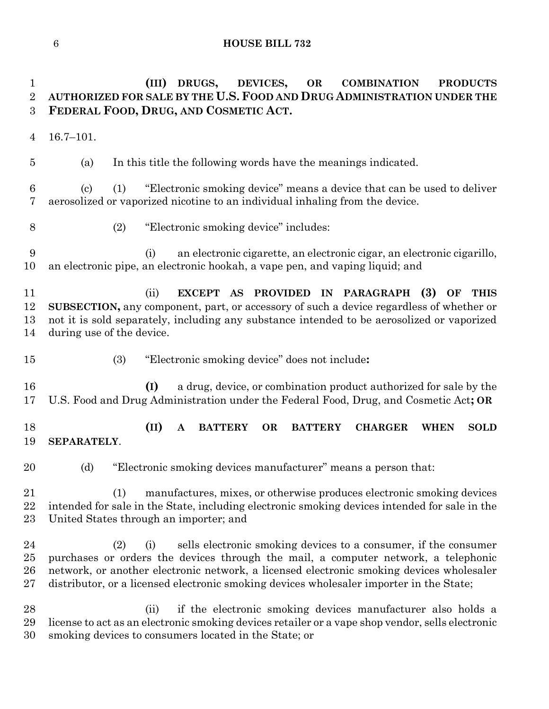**(III) DRUGS, DEVICES, OR COMBINATION PRODUCTS AUTHORIZED FOR SALE BY THE U.S. FOOD AND DRUG ADMINISTRATION UNDER THE FEDERAL FOOD, DRUG, AND COSMETIC ACT.** 16.7–101. (a) In this title the following words have the meanings indicated. (c) (1) "Electronic smoking device" means a device that can be used to deliver aerosolized or vaporized nicotine to an individual inhaling from the device. (2) "Electronic smoking device" includes: (i) an electronic cigarette, an electronic cigar, an electronic cigarillo, an electronic pipe, an electronic hookah, a vape pen, and vaping liquid; and (ii) **EXCEPT AS PROVIDED IN PARAGRAPH (3) OF THIS SUBSECTION,** any component, part, or accessory of such a device regardless of whether or not it is sold separately, including any substance intended to be aerosolized or vaporized during use of the device. (3) "Electronic smoking device" does not include**: (I)** a drug, device, or combination product authorized for sale by the U.S. Food and Drug Administration under the Federal Food, Drug, and Cosmetic Act**; OR (II) A BATTERY OR BATTERY CHARGER WHEN SOLD SEPARATELY**. 20 (d) "Electronic smoking devices manufacturer" means a person that: (1) manufactures, mixes, or otherwise produces electronic smoking devices intended for sale in the State, including electronic smoking devices intended for sale in the United States through an importer; and (2) (i) sells electronic smoking devices to a consumer, if the consumer purchases or orders the devices through the mail, a computer network, a telephonic network, or another electronic network, a licensed electronic smoking devices wholesaler distributor, or a licensed electronic smoking devices wholesaler importer in the State; (ii) if the electronic smoking devices manufacturer also holds a license to act as an electronic smoking devices retailer or a vape shop vendor, sells electronic smoking devices to consumers located in the State; or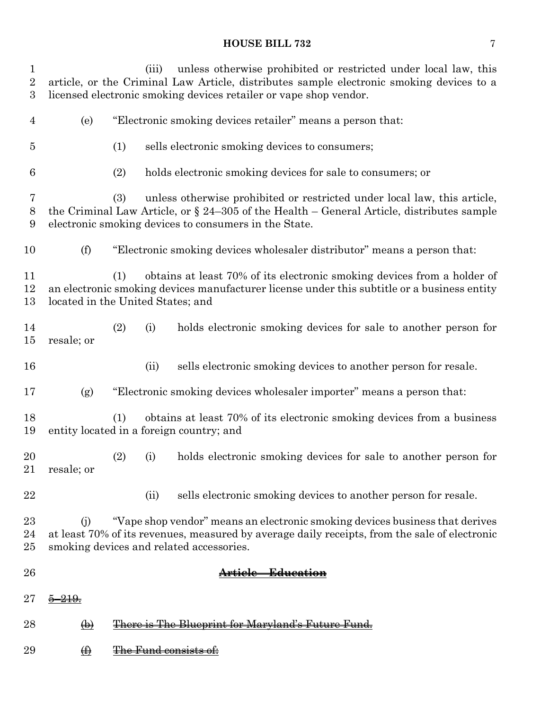| 1<br>$\overline{2}$<br>$\boldsymbol{3}$ |                                                                   |     | (iii)                        | unless otherwise prohibited or restricted under local law, this<br>article, or the Criminal Law Article, distributes sample electronic smoking devices to a<br>licensed electronic smoking devices retailer or vape shop vendor.  |  |
|-----------------------------------------|-------------------------------------------------------------------|-----|------------------------------|-----------------------------------------------------------------------------------------------------------------------------------------------------------------------------------------------------------------------------------|--|
| $\overline{4}$                          | (e)<br>"Electronic smoking devices retailer" means a person that: |     |                              |                                                                                                                                                                                                                                   |  |
| $\overline{5}$                          |                                                                   | (1) |                              | sells electronic smoking devices to consumers;                                                                                                                                                                                    |  |
| 6                                       |                                                                   | (2) |                              | holds electronic smoking devices for sale to consumers; or                                                                                                                                                                        |  |
| 7<br>8<br>9                             |                                                                   | (3) |                              | unless otherwise prohibited or restricted under local law, this article,<br>the Criminal Law Article, or $\S$ 24–305 of the Health – General Article, distributes sample<br>electronic smoking devices to consumers in the State. |  |
| 10                                      | (f)                                                               |     |                              | "Electronic smoking devices wholesaler distributor" means a person that:                                                                                                                                                          |  |
| 11<br>12<br>13                          | located in the United States; and                                 | (1) |                              | obtains at least 70% of its electronic smoking devices from a holder of<br>an electronic smoking devices manufacturer license under this subtitle or a business entity                                                            |  |
| 14<br>15                                | resale; or                                                        | (2) | (i)                          | holds electronic smoking devices for sale to another person for                                                                                                                                                                   |  |
| 16                                      |                                                                   |     | (ii)                         | sells electronic smoking devices to another person for resale.                                                                                                                                                                    |  |
| 17                                      | (g)                                                               |     |                              | "Electronic smoking devices wholesaler importer" means a person that:                                                                                                                                                             |  |
| 18<br>19                                |                                                                   | (1) |                              | obtains at least 70% of its electronic smoking devices from a business<br>entity located in a foreign country; and                                                                                                                |  |
| 20<br>21                                | resale; or                                                        | (2) | (i)                          | holds electronic smoking devices for sale to another person for                                                                                                                                                                   |  |
| 22                                      |                                                                   |     | (ii)                         | sells electronic smoking devices to another person for resale.                                                                                                                                                                    |  |
| $^{23}$<br>24<br>25                     | (i)                                                               |     |                              | "Vape shop vendor" means an electronic smoking devices business that derives<br>at least 70% of its revenues, measured by average daily receipts, from the sale of electronic<br>smoking devices and related accessories.         |  |
| 26                                      |                                                                   |     |                              | Article—Education                                                                                                                                                                                                                 |  |
| $27\,$                                  |                                                                   |     |                              |                                                                                                                                                                                                                                   |  |
| $^{28}$                                 | $\bigoplus$                                                       |     |                              | <del>There is The Blueprint for Marvland's Future Fund.</del>                                                                                                                                                                     |  |
| 29                                      | $\bigoplus$                                                       |     | <del>The Fund consists</del> |                                                                                                                                                                                                                                   |  |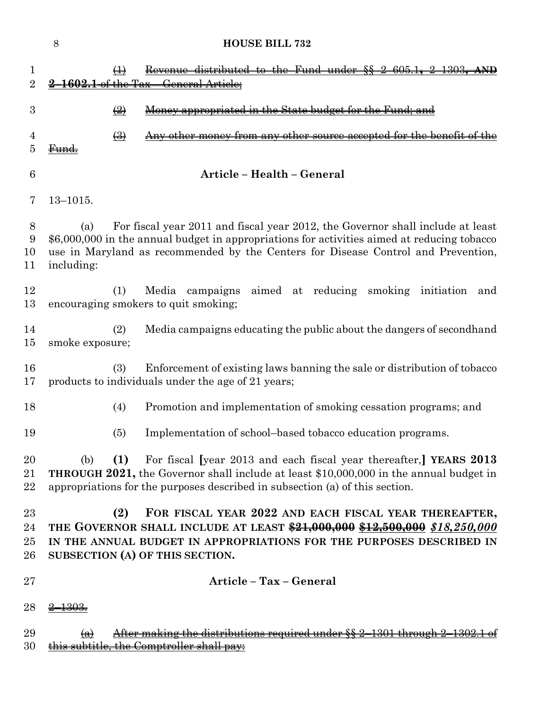|                          | $8\,$<br><b>HOUSE BILL 732</b>                                                                                                                                                                                                                                                          |
|--------------------------|-----------------------------------------------------------------------------------------------------------------------------------------------------------------------------------------------------------------------------------------------------------------------------------------|
| 1<br>$\overline{2}$      | Revenue distributed to the Fund under §§ 2-605.1.<br>$\bigoplus$<br><del>the Tax</del><br><del>General</del>                                                                                                                                                                            |
| 3                        | $\left(\frac{1}{2}\right)$<br>ppropriated in the State budget for the Fund: and                                                                                                                                                                                                         |
| 4<br>5                   | $\left(\frac{1}{2}\right)$<br><del>other source accepted for the benefit of</del><br><del>from anv</del>                                                                                                                                                                                |
| 6                        | Article - Health - General                                                                                                                                                                                                                                                              |
| 7                        | $13 - 1015.$                                                                                                                                                                                                                                                                            |
| 8<br>9<br>10<br>11       | For fiscal year 2011 and fiscal year 2012, the Governor shall include at least<br>(a)<br>\$6,000,000 in the annual budget in appropriations for activities aimed at reducing tobacco<br>use in Maryland as recommended by the Centers for Disease Control and Prevention,<br>including: |
| 12<br>13                 | Media campaigns<br>aimed at reducing<br>smoking<br>(1)<br>initiation<br>and<br>encouraging smokers to quit smoking;                                                                                                                                                                     |
| 14<br>15                 | (2)<br>Media campaigns educating the public about the dangers of second hand<br>smoke exposure;                                                                                                                                                                                         |
| 16<br>17                 | (3)<br>Enforcement of existing laws banning the sale or distribution of tobacco<br>products to individuals under the age of 21 years;                                                                                                                                                   |
| 18                       | (4)<br>Promotion and implementation of smoking cessation programs; and                                                                                                                                                                                                                  |
| 19                       | (5)<br>Implementation of school-based tobacco education programs.                                                                                                                                                                                                                       |
| 20<br>21<br>22           | For fiscal [year 2013 and each fiscal year thereafter,] YEARS 2013<br>(1)<br>(b)<br><b>THROUGH 2021,</b> the Governor shall include at least \$10,000,000 in the annual budget in<br>appropriations for the purposes described in subsection (a) of this section.                       |
| 23<br>24<br>$25\,$<br>26 | (2)<br>FOR FISCAL YEAR 2022 AND EACH FISCAL YEAR THEREAFTER,<br>THE GOVERNOR SHALL INCLUDE AT LEAST \$21,000,000 \$12,500,000 \$18,250,000<br>IN THE ANNUAL BUDGET IN APPROPRIATIONS FOR THE PURPOSES DESCRIBED IN<br>SUBSECTION (A) OF THIS SECTION.                                   |
| $27\,$                   | Article - Tax - General                                                                                                                                                                                                                                                                 |
| 28                       |                                                                                                                                                                                                                                                                                         |
| 29<br>30                 | <del>ter making the distributions required under §§ 2-</del><br>$\leftrightarrow$<br>the Comptroller shall                                                                                                                                                                              |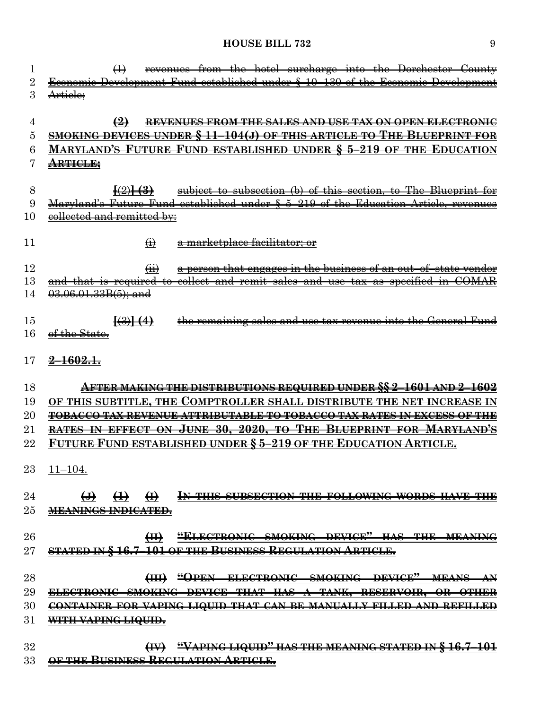| 1      | revenues from the hotel surcharge into the Dorchester County<br>$\bigoplus$                          |
|--------|------------------------------------------------------------------------------------------------------|
| 2      | Economic Development Fund established under § 10–130 of the Economic Development                     |
| 3      | Article;                                                                                             |
|        |                                                                                                      |
| 4      | $\left( \frac{9}{2} \right)$<br>REVENUES FROM THE SALES AND USE TAX ON OPEN ELECTRONIC               |
| 5      | <u>SMOKING DEVICES UNDER § 11–104(J) OF THIS ARTICLE TO THE BLUEPRINT FOR</u>                        |
| 6      | <u> MARYLAND'S FUTURE FUND ESTABLISHED UNDER § 5-219 OF THE EDUCATION</u>                            |
|        | <del>ARTICLE;</del>                                                                                  |
| 8      | $\frac{(\cdot 2)}{(\cdot 3)}$<br>subject to subsection (b) of this section, to The Blueprint for     |
| 9      | Maryland's Future Fund established under $\S$ 5-219 of the Education Article, revenues               |
| 10     | eollected and remitted by:                                                                           |
|        |                                                                                                      |
| 11     | $\leftrightarrow$<br><del>a marketplace facilitator; or</del>                                        |
|        |                                                                                                      |
| 12     | a person that engages in the business of an out-of-state vender<br>(H)                               |
| 13     | <u>collect and remit sales and use tax as specified in</u><br><del>and that is required</del><br>ŧe− |
| 14     | 03.06.01.33B(5); and                                                                                 |
|        |                                                                                                      |
| 15     | $\frac{1}{(3)}(4)$<br>the remaining sales and use tax revenue into the General Fund                  |
| 16     | <del>of the State.</del>                                                                             |
|        |                                                                                                      |
| 17     | <del>2-1602.1.</del>                                                                                 |
| 18     | AFTER MAKING THE DISTRIBUTIONS REQUIRED UNDER §§ 2-1601 AND 2-1602                                   |
| 19     | OF THIS SUBTITLE, THE COMPTROLLER SHALL DISTRIBUTE THE NET INCREASE IN                               |
| $20\,$ | TOBACCO TAX REVENUE ATTRIBUTABLE TO TOBACCO TAX RATES IN EXCESS OF THE                               |
| $21\,$ | RATES IN EFFECT ON JUNE 30, 2020, TO THE BLUEPRINT FOR MARYLAND'S                                    |
| 22     | <u>Future Fund established under § 5–219 of the Education Article.</u>                               |
|        |                                                                                                      |
| 23     | $11 - 104.$                                                                                          |
|        |                                                                                                      |
| 24     | $\leftrightarrow$<br>$\bigoplus$<br>$\bigoplus$<br>IN THIS SUBSECTION THE FOLLOWING WORDS HAVE THE   |
| $25\,$ | <b>MEANINGS INDICATED.</b>                                                                           |
|        |                                                                                                      |
| $26\,$ | "ELECTRONIC SMOKING DEVICE" HAS THE MEANING<br>H                                                     |
| $27\,$ | <u>STATED IN §16.7–101 OF THE BUSINESS REGULATION ARTICLE.</u>                                       |
|        |                                                                                                      |
| 28     | (III) "OPEN ELECTRONIC SMOKING DEVICE" MEANS<br>${\bf A}{\bf N}$                                     |
| 29     | ONI <del>C SMOKING DEVICE THAT</del><br><del>– RESERVOIR.</del>                                      |
| 30     | CONTAINER FOR VAPING LIQUID THAT CAN BE MANUALLY FILLED AND REFILLED                                 |
| 31     | WITH VAPING LIQUID.                                                                                  |
| 32     | (IV) "VAPING LIQUID" HAS THE MEANING STATED IN §16.7-101                                             |
| 33     | OF THE BUSINESS REGULATION ARTICLE.                                                                  |
|        |                                                                                                      |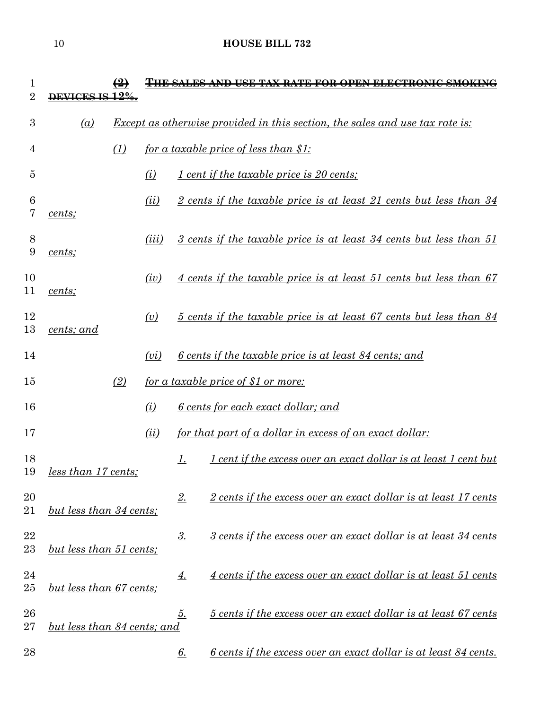| 1<br>$\overline{2}$ |                             | $\bigcirc$ |       |               | <del>THE SALES AND USE TAX RATE FOR OPEN ELECTRONIC SM</del>                        |
|---------------------|-----------------------------|------------|-------|---------------|-------------------------------------------------------------------------------------|
| 3                   | (a)                         |            |       |               | <u>Except as otherwise provided in this section, the sales and use tax rate is:</u> |
| 4                   |                             | (1)        |       |               | for a taxable price of less than \$1:                                               |
| 5                   |                             |            | (i)   |               | 1 cent if the taxable price is 20 cents;                                            |
| 6<br>7              | cents;                      |            | (ii)  |               | 2 cents if the taxable price is at least 21 cents but less than 34                  |
| 8<br>9              | cents;                      |            | (iii) |               | 3 cents if the taxable price is at least 34 cents but less than 51                  |
| 10<br>11            | cents;                      |            | (iv)  |               | 4 cents if the taxable price is at least 51 cents but less than 67                  |
| 12<br>13            | cents; and                  |            | (v)   |               | 5 cents if the taxable price is at least 67 cents but less than 84                  |
| 14                  |                             |            | (vi)  |               | <u>6 cents if the taxable price is at least 84 cents; and</u>                       |
| 15                  |                             | (2)        |       |               | <u>for a taxable price of \$1 or more:</u>                                          |
| 16                  |                             |            | (i)   |               | <u>6 cents for each exact dollar; and</u>                                           |
| 17                  |                             |            | (ii)  |               | <u>for that part of a dollar in excess of an exact dollar:</u>                      |
| 18<br>19            | <u>less than 17 cents;</u>  |            |       | <u>1.</u>     | <u>I cent if the excess over an exact dollar is at least 1 cent but</u>             |
| 20<br>21            | but less than 34 cents;     |            |       | 2.            | 2 cents if the excess over an exact dollar is at least 17 cents                     |
| 22<br>23            | but less than 51 cents;     |            |       | $\frac{3}{2}$ | 3 cents if the excess over an exact dollar is at least 34 cents                     |
| 24<br>$25\,$        | but less than 67 cents;     |            |       | <u>4.</u>     | 4 cents if the excess over an exact dollar is at least 51 cents                     |
| 26<br>27            | but less than 84 cents; and |            |       | <u>5.</u>     | 5 cents if the excess over an exact dollar is at least 67 cents                     |
| 28                  |                             |            |       | <u>6.</u>     | <u>6 cents if the excess over an exact dollar is at least 84 cents.</u>             |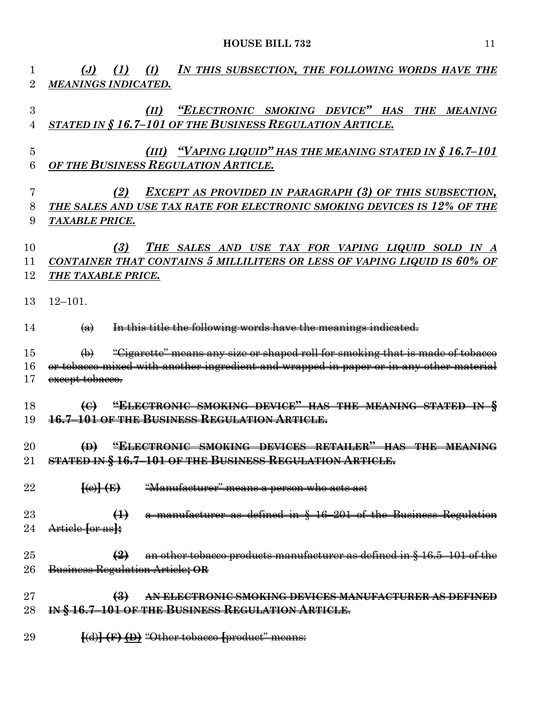| 1<br>$\overline{2}$ | (J) (1) (I) IN THIS SUBSECTION, THE FOLLOWING WORDS HAVE THE<br><b>MEANINGS INDICATED.</b>                                                                                                 |
|---------------------|--------------------------------------------------------------------------------------------------------------------------------------------------------------------------------------------|
| 3<br>4              | (II) "ELECTRONIC SMOKING DEVICE" HAS THE MEANING<br>STATED IN § 16.7-101 OF THE BUSINESS REGULATION ARTICLE.                                                                               |
| $\overline{5}$<br>6 | <u>(III) "VAPING LIQUID" HAS THE MEANING STATED IN § 16.7-101</u><br>OF THE BUSINESS REGULATION ARTICLE.                                                                                   |
| 7<br>8<br>9         | <b>EXCEPT AS PROVIDED IN PARAGRAPH (3) OF THIS SUBSECTION,</b><br>(2)<br>THE SALES AND USE TAX RATE FOR ELECTRONIC SMOKING DEVICES IS 12% OF THE<br><b>TAXABLE PRICE.</b>                  |
| 10<br>11<br>12      | THE SALES AND USE TAX FOR VAPING LIQUID SOLD IN A<br>(3)<br>CONTAINER THAT CONTAINS 5 MILLILITERS OR LESS OF VAPING LIQUID IS 60% OF<br><b>THE TAXABLE PRICE.</b>                          |
| 13<br>14            | $12 - 101$ .<br>In this title the following words have the meanings indicated.<br>$\left(\mathbf{a}\right)$                                                                                |
| 15<br>16<br>17      | "Gigarette" means any size or shaped roll for smoking that is made of tobacco<br>or tobacco mixed with another ingredient and wrapped in paper or in any other material<br>except tobacco. |
| 18<br>19            | (C) "ELECTRONIC SMOKING DEVICE" HAS THE MEANING STATED IN §<br><b>16.7-101 OF THE BUSINESS REGULATION ARTICLE.</b>                                                                         |
| 20<br>21            | "ELECTRONIC SMOKING DEVICES RETAILER" HAS THE MEANING<br>$\bigoplus$<br>STATED IN § 16.7-101 OF THE BUSINESS REGULATION ARTICLE.                                                           |
| 22                  | $\overline{\{\Theta\}}$ $\overline{\{\Theta\}}$<br><del>"Manufacturer" means a person who acts as:</del>                                                                                   |
| 23<br>24            | a manufacturer as defined in § 16-201 of the Business Regulation<br>$\leftrightarrow$<br>Article for as <sub>t</sub>                                                                       |
| 25<br>26            | $\left( \frac{9}{2} \right)$ an other tobacco products manufacturer as defined in § 16.5–101 of the<br>Business Regulation Article; OR                                                     |
| 27<br>28            | $\left(\frac{3}{2}\right)$<br>AN ELECTRONIC SMOKING DEVICES MANUFACTURER AS DEFINED<br>IN § 16.7-101 OF THE BUSINESS REGULATION ARTICLE.                                                   |
| 29                  | [(d)] (F) (D) "Other tobacco [product" means:                                                                                                                                              |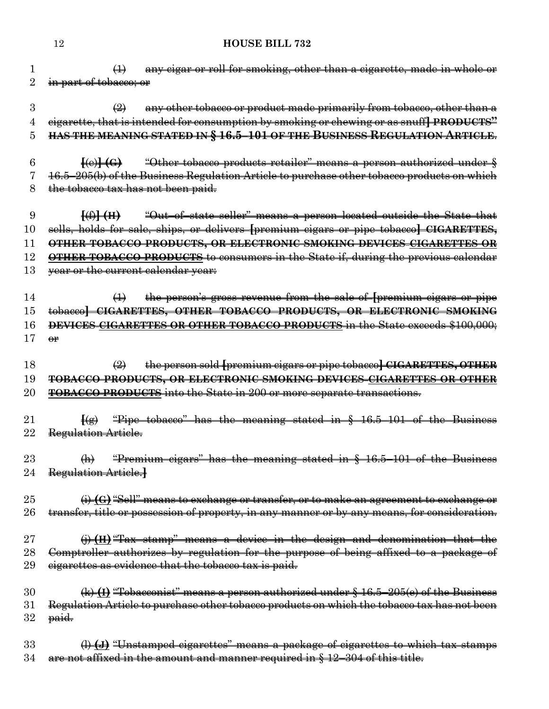(1) any cigar or roll for smoking, other than a cigarette, made in whole or 2 in part of tobacco; or

3  $\left(\frac{2}{2}\right)$  any other tobacco or product made primarily from tobacco, other than a cigarette, that is intended for consumption by smoking or chewing or as snuff**] PRODUCTS" HAS THE MEANING STATED IN § 16.5–101 OF THE BUSINESS REGULATION ARTICLE**.

 **[**(e)**] (G)** "Other tobacco products retailer" means a person authorized under § 16.5–205(b) of the Business Regulation Article to purchase other tobacco products on which the tobacco tax has not been paid.

 **[**(f)**] (H)** "Out–of–state seller" means a person located outside the State that sells, holds for sale, ships, or delivers **[**premium cigars or pipe tobacco**] CIGARETTES, OTHER TOBACCO PRODUCTS, OR ELECTRONIC SMOKING DEVICES CIGARETTES OR OTHER TOBACCO PRODUCTS** to consumers in the State if, during the previous calendar 13 <del>year or the current calendar year:</del>

 (1) the person's gross revenue from the sale of **[**premium cigars or pipe tobacco**] CIGARETTES, OTHER TOBACCO PRODUCTS, OR ELECTRONIC SMOKING DEVICES CIGARETTES OR OTHER TOBACCO PRODUCTS** in the State exceeds \$100,000;  $\Theta$ **r** 

 (2) the person sold **[**premium cigars or pipe tobacco**] CIGARETTES, OTHER TOBACCO PRODUCTS, OR ELECTRONIC SMOKING DEVICES CIGARETTES OR OTHER TOBACCO PRODUCTS** into the State in 200 or more separate transactions.

 **[**(g) "Pipe tobacco" has the meaning stated in § 16.5–101 of the Business 22 Regulation Article.

 (h) "Premium cigars" has the meaning stated in § 16.5–101 of the Business Regulation Article.**]**

 (i) **(G)**"Sell" means to exchange or transfer, or to make an agreement to exchange or 26 transfer, title or possession of property, in any manner or by any means, for consideration.

 (j) **(H)**"Tax stamp" means a device in the design and denomination that the Comptroller authorizes by regulation for the purpose of being affixed to a package of 29 eigarettes as evidence that the tobacco tax is paid.

 (k) **(I)** "Tobacconist" means a person authorized under § 16.5–205(e) of the Business Regulation Article to purchase other tobacco products on which the tobacco tax has not been paid.

 (l) **(J)** "Unstamped cigarettes" means a package of cigarettes to which tax stamps are not affixed in the amount and manner required in § 12–304 of this title.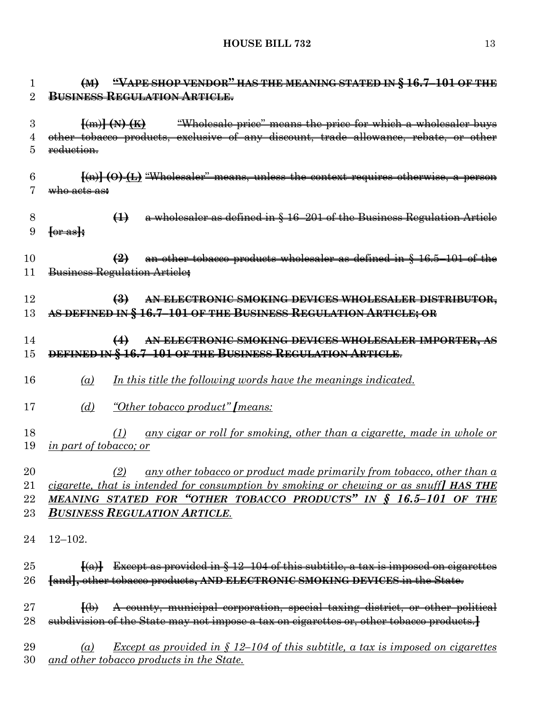| 1  | $(M)$ "VAPE SHOP VENDOR" HAS THE MEANING STATED IN § 16.7-101 OF THE                                                      |
|----|---------------------------------------------------------------------------------------------------------------------------|
| 2  | <b>BUSINESS REGULATION ARTICLE.</b>                                                                                       |
| 3  | <i>"Wholesale price"</i> means the price for which a wholesaler buys<br>$\frac{1}{2}$ (m) $\frac{1}{2}$ (N) $\frac{1}{2}$ |
| 4  | other tobacco products, exclusive of any discount, trade allowance, rebate, or other                                      |
| 5  | reduction.                                                                                                                |
| 6  | $\{\text{(n)}\}\{\text{(O)}\}\{\text{L}\}\$ "Wholesaler" means, unless the context requires otherwise, a person           |
| 7  | <del>who acts as:</del>                                                                                                   |
| 8  | a wholesaler as defined in § 16-201 of the Business Regulation Article<br>$\leftrightarrow$                               |
| 9  | $\left\{ \theta$ r as $\right\}$                                                                                          |
| 10 | $\left( \frac{2}{2} \right)$ an other tobacco products wholesaler as defined in § 16.5–101 of the                         |
| 11 | Business Regulation Article;                                                                                              |
| 12 | AN ELECTRONIC SMOKING DEVICES WHOLESALER DISTRIBUTOR,<br>$\left( \frac{3}{2} \right)$                                     |
| 13 | AS DEFINED IN § 16.7-101 OF THE BUSINESS REGULATION ARTICLE; OR                                                           |
| 14 | AN ELECTRONIC SMOKING DEVICES WHOLESALER IMPORTER, AS<br>$\leftrightarrow$                                                |
| 15 | DEFINED IN § 16.7-101 OF THE BUSINESS REGULATION ARTICLE.                                                                 |
| 16 | In this title the following words have the meanings indicated.<br>(a)                                                     |
| 17 | "Other tobacco product" [means:<br>(d)                                                                                    |
| 18 | any cigar or roll for smoking, other than a cigarette, made in whole or<br>(1)                                            |
| 19 | <i>in part of tobacco; or</i>                                                                                             |
| 20 | any other tobacco or product made primarily from tobacco, other than a<br>(2)                                             |
| 21 | cigarette, that is intended for consumption by smoking or chewing or as snuff I HAS THE                                   |
| 22 | MEANING STATED FOR "OTHER TOBACCO PRODUCTS" IN § 16.5-101 OF THE                                                          |
| 23 | <b>BUSINESS REGULATION ARTICLE.</b>                                                                                       |
| 24 | $12 - 102.$                                                                                                               |
| 25 | $\{\{a\}\}$ Except as provided in $\S$ 12–104 of this subtitle, a tax is imposed on eigarettes                            |
| 26 | [and], other tobacco products, AND ELECTRONIC SMOKING DEVICES in the State.                                               |
| 27 | A county, municipal corporation, special taxing district, or other political<br>$\ket{\upphi}$                            |
| 28 | subdivision of the State may not impose a tax on eigarettes or, other tobacco products.                                   |
| 29 | <u>Except as provided in <math>\S</math> 12–104 of this subtitle, a tax is imposed on cigarettes</u><br>$\left( a\right)$ |
| 30 | <u>and other tobacco products in the State.</u>                                                                           |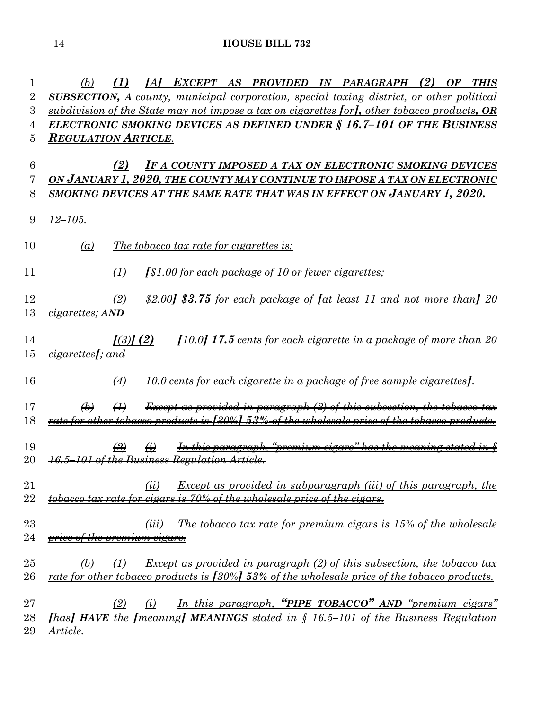*(b) (1) [A] EXCEPT AS PROVIDED IN PARAGRAPH (2) OF THIS SUBSECTION, A county, municipal corporation, special taxing district, or other political subdivision of the State may not impose a tax on cigarettes [or], other tobacco products, OR ELECTRONIC SMOKING DEVICES AS DEFINED UNDER § 16.7–101 OF THE BUSINESS REGULATION ARTICLE*. *(2) IF A COUNTY IMPOSED A TAX ON ELECTRONIC SMOKING DEVICES ON JANUARY 1, 2020, THE COUNTY MAY CONTINUE TO IMPOSE A TAX ON ELECTRONIC* 

*SMOKING DEVICES AT THE SAME RATE THAT WAS IN EFFECT ON JANUARY 1, 2020.*

- *12–105.*
- *(a) The tobacco tax rate for cigarettes is:*
- *(1) [\$1.00 for each package of 10 or fewer cigarettes;*
- *(2) \$2.00] \$3.75 for each package of [at least 11 and not more than] 20 cigarettes; AND*
- *[(3)] (2) [10.0] 17.5 cents for each cigarette in a package of more than 20 cigarettes[; and*
- *(4) 10.0 cents for each cigarette in a package of free sample cigarettes].*

 *(b) (1) Except as provided in paragraph (2) of this subsection, the tobacco tax rate for other tobacco products is [30%] 53% of the wholesale price of the tobacco products.*

- *(2) (i) In this paragraph, "premium cigars" has the meaning stated in § 16.5–101 of the Business Regulation Article.*
- *(ii) Except as provided in subparagraph (iii) of this paragraph, the tobacco tax rate for cigars is 70% of the wholesale price of the cigars.*
- *(iii) The tobacco tax rate for premium cigars is 15% of the wholesale price of the premium cigars.*
- *(b) (1) Except as provided in paragraph (2) of this subsection, the tobacco tax rate for other tobacco products is [30%] 53% of the wholesale price of the tobacco products.*
- *(2) (i) In this paragraph, "PIPE TOBACCO" AND "premium cigars" [has] HAVE the [meaning] MEANINGS stated in § 16.5–101 of the Business Regulation Article.*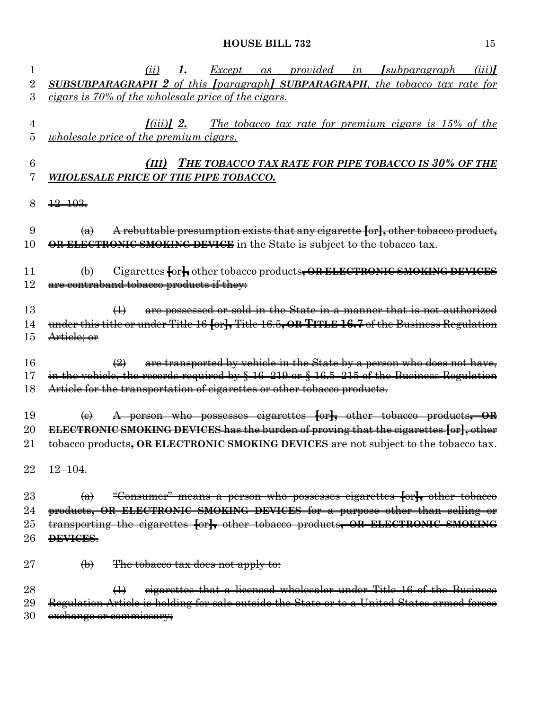| 1  | <u>Except as provided in [subparagraph</u><br>(ii)<br><u>I.</u><br>(iii)                            |
|----|-----------------------------------------------------------------------------------------------------|
| 2  | <b>SUBSUBPARAGRAPH 2</b> of this [paragraph] SUBPARAGRAPH, the tobacco tax rate for                 |
| 3  | cigars is 70% of the wholesale price of the cigars.                                                 |
|    |                                                                                                     |
| 4  | <u>The tobacco tax rate for premium cigars is 15% of the</u><br>$I(iii)$ 2.                         |
| 5  | <i>wholesale price of the premium cigars.</i>                                                       |
| 6  | (III) THE TOBACCO TAX RATE FOR PIPE TOBACCO IS 30% OF THE                                           |
| 7  | WHOLESALE PRICE OF THE PIPE TOBACCO.                                                                |
|    |                                                                                                     |
| 8  | $\frac{12}{103}$                                                                                    |
| 9  | A rebuttable presumption exists that any eigarette for, other tobacco product,<br>$\bigoplus$       |
| 10 | OR ELECTRONIC SMOKING DEVICE in the State is subject to the tobacco tax.                            |
|    |                                                                                                     |
| 11 | Gigarettes for, other tobacco products, OR ELECTRONIC SMOKING DEVICES<br>$\bigoplus$                |
| 12 | are contraband tobacco products if they:                                                            |
| 13 | are possessed or sold in the State in a manner that is not authorized<br>$\leftrightarrow$          |
| 14 | under this title or under Title 16 [or], Title 16.5, OR TITLE 16.7 of the Business Regulation       |
| 15 | Article; or                                                                                         |
|    |                                                                                                     |
| 16 | are transported by vehicle in the State by a person who does not have,<br>$\bigoplus$               |
| 17 | in the vehicle, the records required by $\S$ 16-219 or $\S$ 16.5-215 of the Business Regulation     |
| 18 | Article for the transportation of eigarettes or other tobacco products.                             |
| 19 | A person who possesses cigarettes for, other tobacco products, OR<br>$\Theta$                       |
| 20 | ELECTRONIC SMOKING DEVICES has the burden of proving that the eigarettes [or], other                |
| 21 | tobacco products, OR ELECTRONIC SMOKING DEVICES are not subject to the tobacco tax.                 |
|    |                                                                                                     |
| 22 | $12 - 104$                                                                                          |
| 23 | "Consumer" means a person who possesses cigarettes [or], other tobacco<br>$\left(\mathbf{a}\right)$ |
| 24 | products, OR ELECTRONIC SMOKING DEVICES for a purpose other than selling or                         |
| 25 | transporting the cigarettes [or], other tobacco products, OR ELECTRONIC SMOKING                     |
| 26 | DEVICES.                                                                                            |
|    |                                                                                                     |
| 27 | The tobacco tax does not apply to:<br>$\bigoplus$                                                   |
| 28 | eigarettes that a licensed wholesaler under Title 16 of the Business<br>$\leftrightarrow$           |
| 29 | Regulation Article is holding for sale outside the State or to a United States armed forces         |
| 30 | exchange or commissary;                                                                             |
|    |                                                                                                     |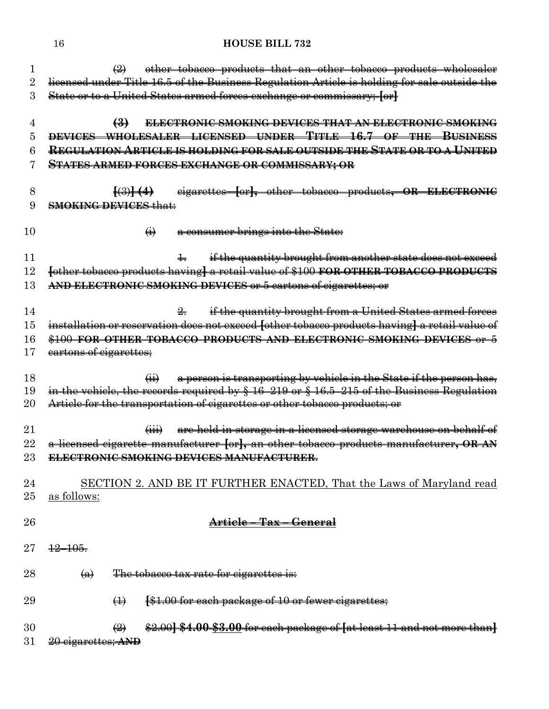| 1        | other tobacco products that an other tobacco products wholesaler<br>$\bigoplus$                      |  |  |  |  |  |  |  |
|----------|------------------------------------------------------------------------------------------------------|--|--|--|--|--|--|--|
| $\rm{2}$ | licensed under Title 16.5 of the Business Regulation Article is holding for sale outside the         |  |  |  |  |  |  |  |
| 3        | State or to a United States armed forces exchange or commissary; [or]                                |  |  |  |  |  |  |  |
| 4        | $\left(3\right)$<br><b>ELECTRONIC SMOKING DEVICES THAT AN ELECTRONIC SMOKING</b>                     |  |  |  |  |  |  |  |
| 5        | DEVICES WHOLESALER LICENSED UNDER TITLE 16.7 OF THE BUSINESS                                         |  |  |  |  |  |  |  |
| 6        | <u>Regulation Article is holding for sale outside the State or to a United</u>                       |  |  |  |  |  |  |  |
|          | <b>STATES ARMED FORCES EXCHANGE OR COMMISSARY; OR</b>                                                |  |  |  |  |  |  |  |
| 8        | eigarettes for, other tobacco products, OR ELECTRONIC<br>$\left[\left(3\right)\right]\left(4\right)$ |  |  |  |  |  |  |  |
| 9        | <b>SMOKING DEVICES that:</b>                                                                         |  |  |  |  |  |  |  |
| 10       | a consumer brings into the State:<br>$\bigoplus$                                                     |  |  |  |  |  |  |  |
| 11       | 4. if the quantity brought from another state does not exceed                                        |  |  |  |  |  |  |  |
| 12       | fother tobacco products having] a retail value of \$100 FOR OTHER TOBACCO PRODUCTS                   |  |  |  |  |  |  |  |
| 13       | AND ELECTRONIC SMOKING DEVICES or 5 cartons of cigarettes; or                                        |  |  |  |  |  |  |  |
| 14       | if the quantity brought from a United States armed forces<br>$\frac{9}{2}$                           |  |  |  |  |  |  |  |
| 15       | installation or reservation does not exceed fother tobacco products having] a retail value of        |  |  |  |  |  |  |  |
| 16       | \$100 FOR OTHER TOBACCO PRODUCTS AND ELECTRONIC SMOKING DEVICES or 5                                 |  |  |  |  |  |  |  |
| 17       | eartons of cigarettes;                                                                               |  |  |  |  |  |  |  |
| 18       | a person is transporting by vehicle in the State if the person has,<br>$\overline{(+)}$              |  |  |  |  |  |  |  |
| 19       | in the vehicle, the records required by $\S$ 16-219 or $\S$ 16.5-215 of the Business Regulation      |  |  |  |  |  |  |  |
| 20       | Article for the transportation of cigarettes or other tobacco products; or                           |  |  |  |  |  |  |  |
| 21       | are held in storage in a licensed storage warehouse on behalf of<br>$\overleftrightarrow{ }$         |  |  |  |  |  |  |  |
| 22       | a licensed cigarette manufacturer for, an other tobacco products manufacturer, OR AN                 |  |  |  |  |  |  |  |
| 23       | <b>ELECTRONIC SMOKING DEVICES MANUFACTURER.</b>                                                      |  |  |  |  |  |  |  |
| 24       | SECTION 2. AND BE IT FURTHER ENACTED, That the Laws of Maryland read                                 |  |  |  |  |  |  |  |
| 25       | as follows:                                                                                          |  |  |  |  |  |  |  |
| 26       | <del>Article – Tax – General</del>                                                                   |  |  |  |  |  |  |  |
| $27\,$   | $\frac{12}{105}$                                                                                     |  |  |  |  |  |  |  |
| 28       | The tobacco tax rate for cigarettes is:<br>$\left( a\right)$                                         |  |  |  |  |  |  |  |
| 29       | <b>[\$1.00 for each package of 10 or fewer cigarettes;</b><br>$\leftrightarrow$                      |  |  |  |  |  |  |  |
| 30       | \$2.00] \$4.00 \$3.00 for each package of [at least 11 and not more than]<br>$\bigoplus$             |  |  |  |  |  |  |  |
| 31       | 20 eigarettes; AND                                                                                   |  |  |  |  |  |  |  |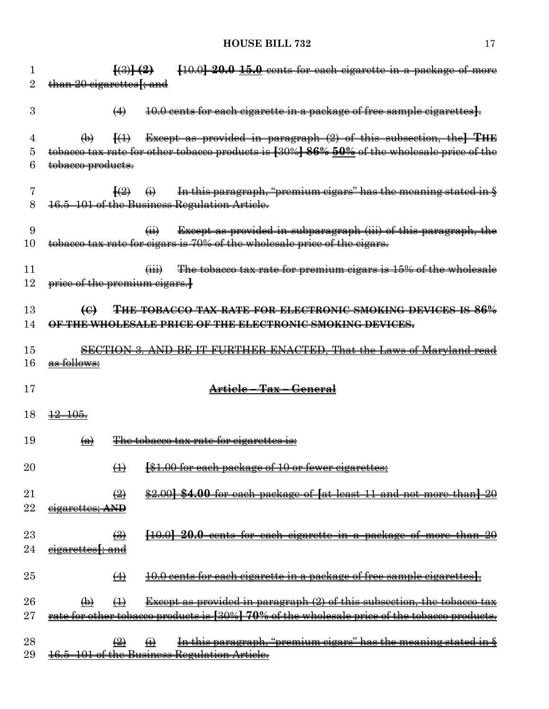| [10.0] 20.0 15.0 cents for each cigarette in a package of more<br>$\left\{ \left( 3\right) \right\}$ $\left( 2\right)$                                                                       |
|----------------------------------------------------------------------------------------------------------------------------------------------------------------------------------------------|
| than 20 eigarettes [; and                                                                                                                                                                    |
| 10.0 cents for each cigarette in a package of free sample cigarettes}.<br>$\leftrightarrow$                                                                                                  |
| Except as provided in paragraph (2) of this subsection, the THE<br>$\ket{4}$<br>$\bigoplus$                                                                                                  |
| tobacco tax rate for other tobacco products is [30%] 86% 50% of the wholesale price of the                                                                                                   |
| tobacco products.                                                                                                                                                                            |
| $\left(\frac{2}{2}\right)$ $\left(\frac{1}{2}\right)$                                                                                                                                        |
| In this paragraph, "premium cigars" has the meaning stated in §<br>16.5-101 of the Business Regulation Article.                                                                              |
|                                                                                                                                                                                              |
| Except as provided in subparagraph (iii) of this paragraph, the<br>$\overline{a}$                                                                                                            |
| tobacco tax rate for cigars is 70% of the wholesale price of the cigars.                                                                                                                     |
|                                                                                                                                                                                              |
| The tobacco tax rate for premium cigars is 15% of the wholesale<br>$\overleftrightarrow{iii}$                                                                                                |
| price of the premium cigars.                                                                                                                                                                 |
|                                                                                                                                                                                              |
| $\Theta$<br><del>THE TOBACCO TAX RATE FOR ELECTRONIC SMOKING DEVICES IS 86%</del>                                                                                                            |
| OF THE WHOLESALE PRICE OF THE ELECTRONIC SMOKING DEVICES.                                                                                                                                    |
| SECTION 3. AND BE IT FURTHER ENACTED, That the Laws of Maryland read                                                                                                                         |
| as follows:                                                                                                                                                                                  |
|                                                                                                                                                                                              |
| Article - Tax - General                                                                                                                                                                      |
|                                                                                                                                                                                              |
| $\frac{12-105}{5}$                                                                                                                                                                           |
| The tobacco tax rate for cigarettes is:<br>$\left(\mathbf{a}\right)$                                                                                                                         |
|                                                                                                                                                                                              |
| $\Gamma$ 0.0 for each package of 10 or fourar gigarattes:<br>$\bigoplus$<br><del>101.00 KH</del><br><del>eacn package or</del><br><b>±∪ ∪r</b><br><del>iewer</del><br><del>cigarettes,</del> |
|                                                                                                                                                                                              |
|                                                                                                                                                                                              |
| \$2,00] \$4,00 for each package of [at least 11 and not more than] 20<br>$\left(\frac{2}{2}\right)$                                                                                          |
| eigarettes; AND                                                                                                                                                                              |
|                                                                                                                                                                                              |
| $\left(\frac{1}{2}\right)$<br>[10.0] 20.0 cents for each cigarette in a package of more than 20                                                                                              |
| eigarettes <del>f; and</del>                                                                                                                                                                 |
|                                                                                                                                                                                              |
| $\leftrightarrow$<br>10.0 cents for each cigarette in a package of free sample cigarettes.                                                                                                   |
|                                                                                                                                                                                              |
| <b>Except as provided in paragraph (2) of this subsection, the tobacco tax</b><br>$\leftrightarrow$<br>$\bigoplus$                                                                           |
| rate for other tobacco products is [30%] 70% of the wholesale price of the tobacco products.                                                                                                 |
| In this paragraph, "premium cigars" has the meaning stated in §<br>$\left(\frac{9}{2}\right)$<br>$\bigoplus$                                                                                 |
|                                                                                                                                                                                              |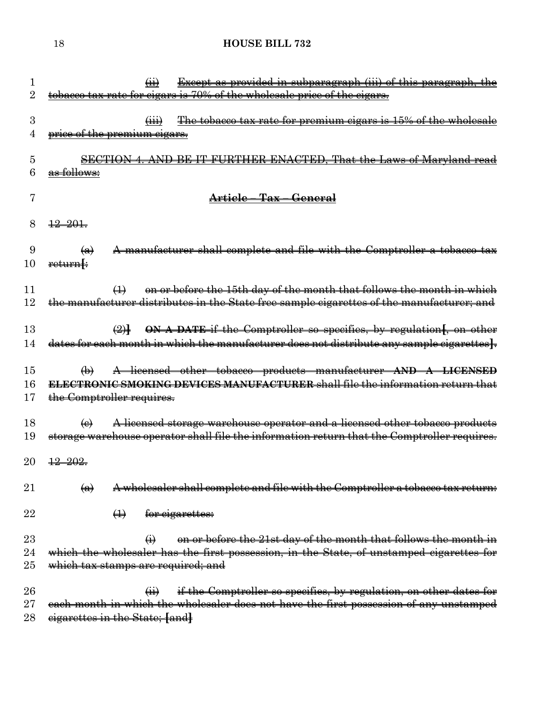| 1<br>$\rm{2}$ | <b>Except as provided in subparagraph (iii) of this paragraph, the</b><br>$\overline{(\mathbf{H})}$<br>tobacco tax rate for cigars is 70% of the wholesale price of the cigars. |
|---------------|---------------------------------------------------------------------------------------------------------------------------------------------------------------------------------|
|               |                                                                                                                                                                                 |
| 3             | The tobacco tax rate for premium cigars is 15% of the wholesale<br>$\overleftrightarrow{H}$                                                                                     |
| 4             | price of the premium cigars.                                                                                                                                                    |
|               |                                                                                                                                                                                 |
| 5             | FURTHER ENACTED, That the Laws of Maryland read<br><b>SECTION 4. AND BE IT</b>                                                                                                  |
| 6             | as follows:                                                                                                                                                                     |
| 7             | Article - Tax - General                                                                                                                                                         |
|               |                                                                                                                                                                                 |
| 8             | $\frac{12}{201}$                                                                                                                                                                |
|               |                                                                                                                                                                                 |
| 9             | A manufacturer shall complete and file with the Comptroller a tobacco tax<br>$\left( \bigoplus \right)$                                                                         |
| 10            | return[:                                                                                                                                                                        |
| 11            | on or before the 15th day of the month that follows the month in which<br>$\leftrightarrow$                                                                                     |
| 12            | the manufacturer distributes in the State free sample cigarettes of the manufacturer; and                                                                                       |
|               |                                                                                                                                                                                 |
| 13            | ON A DATE if the Comptroller so specifies, by regulation[, on other                                                                                                             |
| 14            | dates for each month in which the manufacturer does not distribute any sample cigarettes].                                                                                      |
| 15            | A licensed other tobacco products manufacturer AND A LICENSED<br>$\bigoplus$                                                                                                    |
| 16            | ELECTRONIC SMOKING DEVICES MANUFACTURER shall file the information return that                                                                                                  |
| 17            | the Comptroller requires.                                                                                                                                                       |
|               |                                                                                                                                                                                 |
| 18            | A licensed storage warehouse operator and a licensed other tobacco products<br>$\left(\mathbf{e}\right)$                                                                        |
| 19            | storage warehouse operator shall file the information return that the Comptroller requires.                                                                                     |
| 20            | $\frac{12}{2}$ $\frac{202}{2}$                                                                                                                                                  |
|               |                                                                                                                                                                                 |
| $21\,$        | A wholesaler shall complete and file with the Comptroller a tobacco tax return:<br>$\left( a\right)$                                                                            |
|               |                                                                                                                                                                                 |
| 22            | $\leftrightarrow$<br>for eigarettes:                                                                                                                                            |
| $23\,$        | on or before the 21st day of the month that follows the month in                                                                                                                |
| 24            | $\bigoplus$<br>which the wholesaler has the first possession, in the State, of unstamped cigarettes for                                                                         |
| $25\,$        | which tax stamps are required; and                                                                                                                                              |
|               |                                                                                                                                                                                 |
| $26\,$        | if the Comptroller so specifies, by regulation, on other dates for<br>$\overline{41}$                                                                                           |
| $27\,$        | each month in which the wholesaler does not have the first possession of any unstamped                                                                                          |
| 28            | eigarettes in the State; [and]                                                                                                                                                  |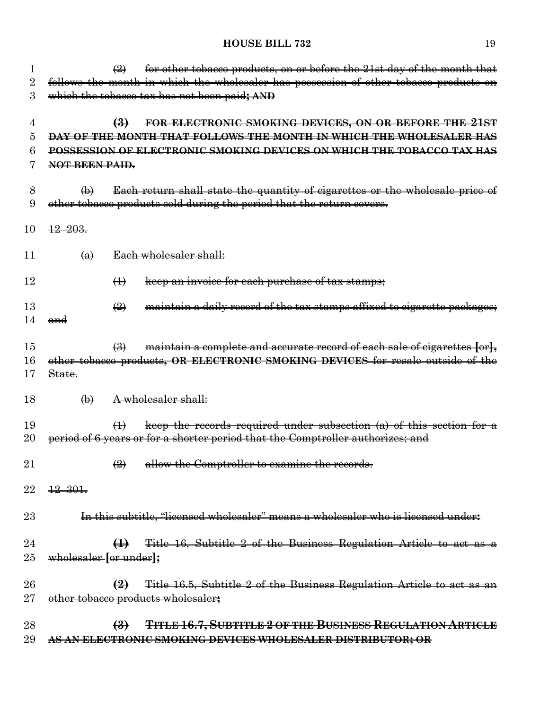| 1        | for other tobacco products, on or before the 21st day of the month that<br>$\leftrightarrow$                     |
|----------|------------------------------------------------------------------------------------------------------------------|
| $\rm{2}$ | follows the month in which the wholesaler has possession of other tobacco products on                            |
| 3        | which the tobacco tax has not been paid; AND                                                                     |
|          |                                                                                                                  |
| 4        | FOR ELECTRONIC SMOKING DEVICES, ON OR BEFORE THE 21ST<br>$\bigoplus$                                             |
| 5        | <b>DAY OF THE MONTH THAT FOLLOWS THE MONTH IN WHICH THE WHOLESALER HAS</b>                                       |
| 6        | POSSESSION OF ELECTRONIC SMOKING DEVICES ON WHICH THE TOBACCO TAX HAS                                            |
| 7        | NOT BEEN PAID.                                                                                                   |
|          |                                                                                                                  |
| 8        | Each return shall state the quantity of cigarettes or the wholesale price of<br>$\bigoplus$                      |
| 9        | other tobacco products sold during the period that the return covers.                                            |
|          |                                                                                                                  |
| 10       | $\frac{12 - 203}{2}$                                                                                             |
|          |                                                                                                                  |
| 11       | Each wholesaler shall:<br>$\left(\mathbf{a}\right)$                                                              |
|          |                                                                                                                  |
| 12       | keep an invoice for each purchase of tax stamps;<br>$\leftrightarrow$                                            |
| 13       | maintain a daily record of the tax stamps affixed to eigarette packages;<br>$\left(\frac{\Omega}{\Omega}\right)$ |
| 14       | <del>and</del>                                                                                                   |
|          |                                                                                                                  |
| 15       | maintain a complete and accurate record of each sale of cigarettes for <sub>k</sub><br>$\leftrightarrow$         |
| 16       | other tobacco products, OR ELECTRONIC SMOKING DEVICES for resale outside of the                                  |
| 17       | State.                                                                                                           |
|          |                                                                                                                  |
| 18       | $\bigoplus$<br>A wholesaler shall:                                                                               |
|          |                                                                                                                  |
| 19       | keep the records required under subsection $(a)$ of this section for a<br>$\leftrightarrow$                      |
| 20       | period of 6 years or for a shorter period that the Comptroller authorizes; and                                   |
|          |                                                                                                                  |
| $21\,$   | allow the Comptroller to examine the records.<br>$\left(\frac{2}{2}\right)$                                      |
|          |                                                                                                                  |
| $22\,$   | $\frac{12}{301}$                                                                                                 |
|          |                                                                                                                  |
| $23\,$   | In this subtitle, "licensed wholesaler" means a wholesaler who is licensed under:                                |
|          |                                                                                                                  |
| 24       | (1) Title 16, Subtitle 2 of the Business Regulation Article to act as a                                          |
| 25       | wholesaler for under <sub>1</sub>                                                                                |
|          |                                                                                                                  |
| $26\,$   | $\left( \frac{2}{2} \right)$ Title 16.5, Subtitle 2 of the Business Regulation Article to act as an              |
| $\rm 27$ | other tobacco products wholesaler;                                                                               |
| 28       | <b>TITLE 16.7, SUBTITLE 2 OF THE BUSINESS REGULATION ARTICLE</b><br>$\biguplus$                                  |
| 29       |                                                                                                                  |
|          | AS AN ELECTRONIC SMOKING DEVICES WHOLESALER DISTRIBUTOR; OR                                                      |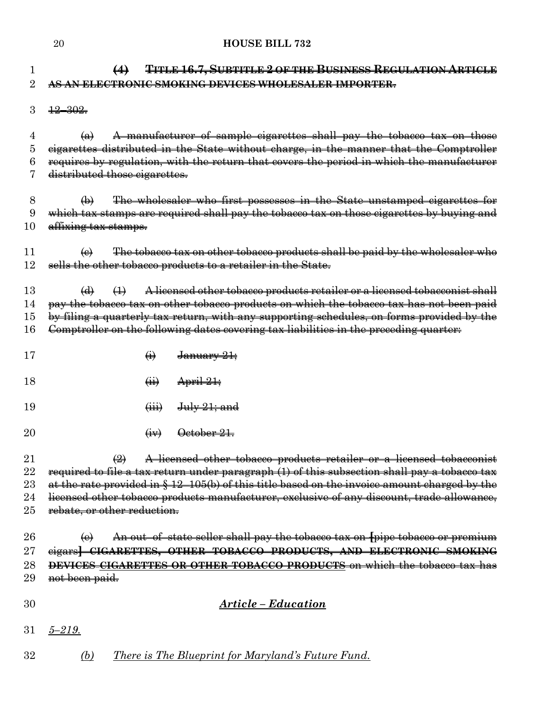| 1<br>$\overline{2}$ | TITLE 16.7, SUBTITLE 2 OF THE BUSINESS REGULATION ARTICLE<br>(4)<br>AS AN ELECTRONIC SMOKING DEVICES WHOLESALER IMPORTER. |
|---------------------|---------------------------------------------------------------------------------------------------------------------------|
| 3                   | $\frac{12 - 302}{5}$                                                                                                      |
| 4                   | A manufacturer of sample cigarettes shall pay the tobacco tax on those<br>$\left(\mathbf{a}\right)$                       |
| 5                   | eigarettes distributed in the State without charge, in the manner that the Comptroller                                    |
| 6                   | requires by regulation, with the return that covers the period in which the manufacturer                                  |
|                     | distributed those cigarettes.                                                                                             |
| 8                   | The wholesaler who first possesses in the State unstamped cigarettes for<br>$\bigoplus$                                   |
| 9                   | which tax stamps are required shall pay the tobacco tax on those cigarettes by buying and                                 |
| 10                  | affixing tax stamps.                                                                                                      |
| 11                  | The tobacco tax on other tobacco products shall be paid by the wholesaler who<br>$\leftrightarrow$                        |
| 12                  | sells the other tobacco products to a retailer in the State.                                                              |
| 13                  | A licensed other tobacco products retailer or a licensed tobacconist shall<br>$\Theta$<br>$\leftrightarrow$               |
| 14                  | pay the tobacco tax on other tobacco products on which the tobacco tax has not been paid                                  |
| 15                  | by filing a quarterly tax return, with any supporting schedules, on forms provided by the                                 |
| 16                  | Comptroller on the following dates covering tax liabilities in the preceding quarter:                                     |
|                     |                                                                                                                           |
| 17                  | $\ddot{\Theta}$<br>January 21;                                                                                            |
| 18                  | $\overline{a}$<br>April 21;                                                                                               |
| 19                  | July 21; and<br>$\overline{(\mathbf{iii})}$                                                                               |
| 20                  | October 21.<br>$\left(\overline{uv}\right)$                                                                               |
| 21                  | A licensed other tobacco products retailer or a licensed tobacconist<br>$\bigoplus$                                       |
| 22                  | required to file a tax return under paragraph (1) of this subsection shall pay a tobacco tax                              |
| 23                  | at the rate provided in $\S$ 12-105(b) of this title based on the invoice amount charged by the                           |
| 24                  | licensed other tobacco products manufacturer, exclusive of any discount, trade allowance,                                 |
| 25                  | rebate, or other reduction.                                                                                               |
| 26                  | An out-of-state seller shall pay the tobacco tax on [pipe tobacco or premium<br>$\left(\mathbf{e}\right)$                 |
| 27                  | eigars CIGARETTES, OTHER TOBACCO PRODUCTS, AND ELECTRONIC SMOKING                                                         |
| 28                  | DEVICES CIGARETTES OR OTHER TOBACCO PRODUCTS on which the tobacco tax has                                                 |
| 29                  | not been paid.                                                                                                            |
| 30                  | Article - Education                                                                                                       |
| 31                  | $5 - 219.$                                                                                                                |
| 32                  | <u>There is The Blueprint for Maryland's Future Fund.</u><br><u>(b)</u>                                                   |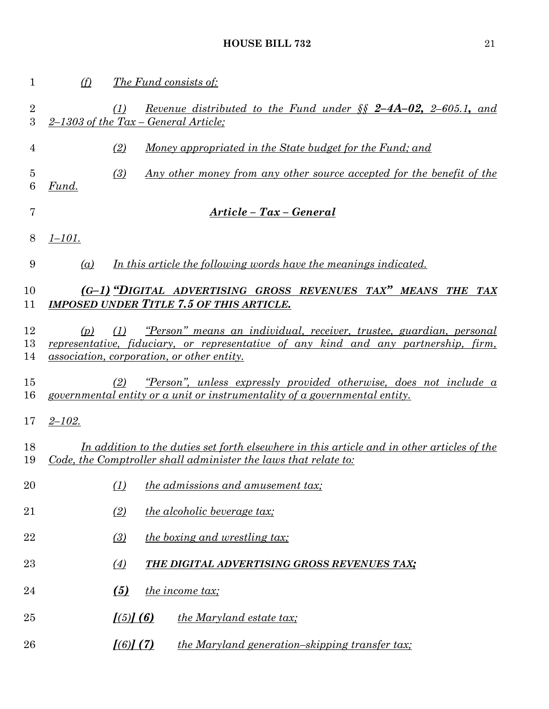| $\mathbf 1$         | (f)        | <i>The Fund consists of:</i>                                                                                                                                                                                    |
|---------------------|------------|-----------------------------------------------------------------------------------------------------------------------------------------------------------------------------------------------------------------|
| $\overline{2}$<br>3 |            | <u>Revenue distributed to the Fund under <math>\S \ S</math> 2-4A-02, 2-605.1, and</u><br>(1)<br>$2-1303$ of the Tax – General Article;                                                                         |
| 4                   |            | Money appropriated in the State budget for the Fund; and<br>(2)                                                                                                                                                 |
| $\overline{5}$<br>6 | Fund.      | (3)<br><u>Any other money from any other source accepted for the benefit of the</u>                                                                                                                             |
| 7                   |            | Article - Tax - General                                                                                                                                                                                         |
| 8                   | $1 - 101.$ |                                                                                                                                                                                                                 |
| 9                   | (a)        | In this article the following words have the meanings indicated.                                                                                                                                                |
| 10<br>11            |            | (G-1) "DIGITAL ADVERTISING GROSS REVENUES TAX" MEANS THE TAX<br><b>IMPOSED UNDER TITLE 7.5 OF THIS ARTICLE.</b>                                                                                                 |
| 12<br>13<br>14      | (p)        | "Person" means an individual, receiver, trustee, guardian, personal<br>(1)<br>representative, fiduciary, or representative of any kind and any partnership, firm,<br>association, corporation, or other entity. |
| 15<br>16            |            | <u>"Person", unless expressly provided otherwise, does not include a</u><br>(2)<br>governmental entity or a unit or instrumentality of a governmental entity.                                                   |
| 17                  | $2 - 102.$ |                                                                                                                                                                                                                 |
| 18<br>19            |            | In addition to the duties set forth elsewhere in this article and in other articles of the<br>Code, the Comptroller shall administer the laws that relate to:                                                   |
| 20                  |            | (1)<br><i>the admissions and amusement tax;</i>                                                                                                                                                                 |
| 21                  |            | (2)<br><i>the alcoholic beverage tax;</i>                                                                                                                                                                       |
| 22                  |            | (3)<br><i>the boxing and wrestling tax;</i>                                                                                                                                                                     |
| $23\,$              |            | $\left(4\right)$<br>THE DIGITAL ADVERTISING GROSS REVENUES TAX;                                                                                                                                                 |
| 24                  |            | (5)<br>the income tax;                                                                                                                                                                                          |
| 25                  |            | [(5)] (6)<br><i>the Maryland estate tax;</i>                                                                                                                                                                    |
| 26                  |            | $[(6)]$ $(7)$<br><i>the Maryland generation-skipping transfer tax;</i>                                                                                                                                          |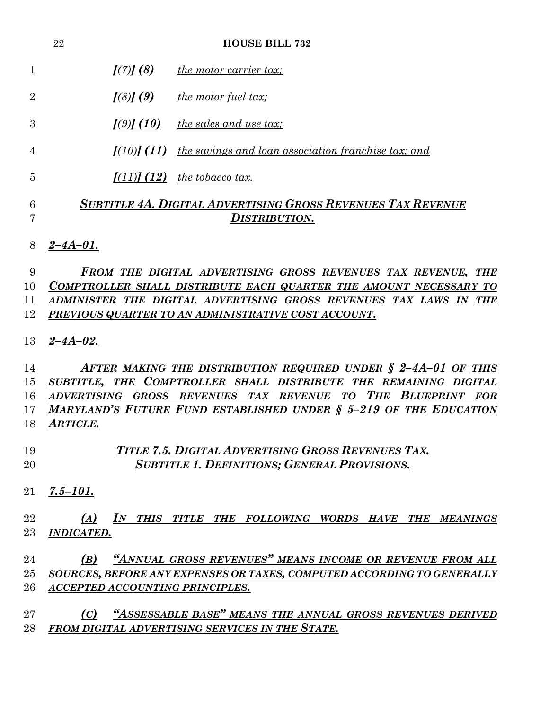|                            | 22                                     | <b>HOUSE BILL 732</b>                                                                                                                                                                                                                                                               |
|----------------------------|----------------------------------------|-------------------------------------------------------------------------------------------------------------------------------------------------------------------------------------------------------------------------------------------------------------------------------------|
| 1                          | $\left[ \frac{7}{2} \right]$ (8)       | <i>the motor carrier tax;</i>                                                                                                                                                                                                                                                       |
| $\overline{2}$             | $\left[ \frac{(8)}{(9)} \right]$       | <i>the motor fuel tax;</i>                                                                                                                                                                                                                                                          |
| 3                          | $\left[ \frac{(9)}{(10)} \right]$      | <i>the sales and use tax;</i>                                                                                                                                                                                                                                                       |
| 4                          |                                        | $(10)$ (11) the savings and loan association franchise tax; and                                                                                                                                                                                                                     |
| 5                          |                                        | $\left[ (11) \right] (12)$ the tobacco tax.                                                                                                                                                                                                                                         |
| 6<br>7                     |                                        | <b>SUBTITLE 4A. DIGITAL ADVERTISING GROSS REVENUES TAX REVENUE</b><br><b>DISTRIBUTION.</b>                                                                                                                                                                                          |
| 8                          | $2 - 4A - 01$ .                        |                                                                                                                                                                                                                                                                                     |
| 9<br>10<br>11<br>12        |                                        | FROM THE DIGITAL ADVERTISING GROSS REVENUES TAX REVENUE, THE<br><b>COMPTROLLER SHALL DISTRIBUTE EACH QUARTER THE AMOUNT NECESSARY TO</b><br>ADMINISTER THE DIGITAL ADVERTISING GROSS REVENUES TAX LAWS IN THE<br>PREVIOUS QUARTER TO AN ADMINISTRATIVE COST ACCOUNT.                |
| 13                         | $2 - 4A - 02$ .                        |                                                                                                                                                                                                                                                                                     |
| 14<br>15<br>16<br>17<br>18 | <b>ARTICLE.</b>                        | AFTER MAKING THE DISTRIBUTION REQUIRED UNDER $\S$ 2-4A-01 OF THIS<br>SUBTITLE, THE COMPTROLLER SHALL DISTRIBUTE<br>THE REMAINING DIGITAL<br>THE BLUEPRINT FOR<br>ADVERTISING GROSS REVENUES TAX REVENUE<br>T O<br>MARYLAND'S FUTURE FUND ESTABLISHED UNDER § 5-219 OF THE EDUCATION |
| 19<br>20                   |                                        | TITLE 7.5. DIGITAL ADVERTISING GROSS REVENUES TAX.<br><b>SUBTITLE 1. DEFINITIONS; GENERAL PROVISIONS.</b>                                                                                                                                                                           |
| 21                         | $7.5 - 101.$                           |                                                                                                                                                                                                                                                                                     |
| 22<br>23                   | (A)<br><b>INDICATED.</b>               | IN THIS TITLE THE FOLLOWING WORDS HAVE THE MEANINGS                                                                                                                                                                                                                                 |
| 24<br>25<br>26             | (B)<br>ACCEPTED ACCOUNTING PRINCIPLES. | "ANNUAL GROSS REVENUES" MEANS INCOME OR REVENUE FROM ALL<br>SOURCES, BEFORE ANY EXPENSES OR TAXES, COMPUTED ACCORDING TO GENERALLY                                                                                                                                                  |
| 27<br>28                   | (C)                                    | "ASSESSABLE BASE" MEANS THE ANNUAL GROSS REVENUES DERIVED<br>FROM DIGITAL ADVERTISING SERVICES IN THE STATE.                                                                                                                                                                        |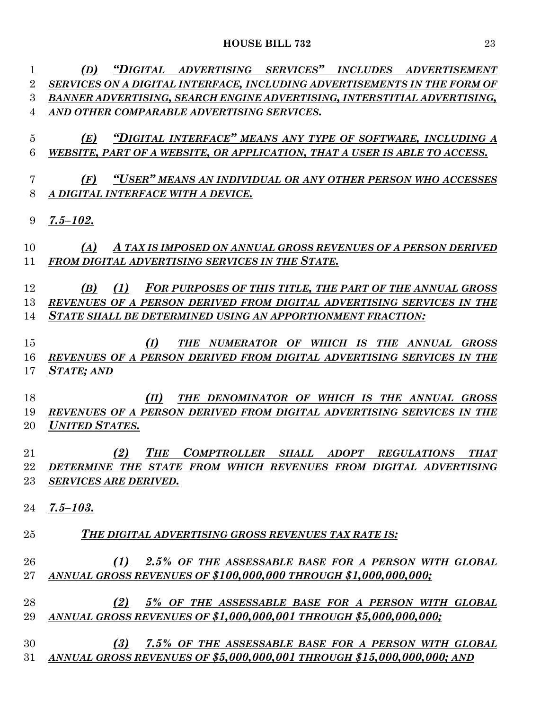| $\overline{2}$<br>SERVICES ON A DIGITAL INTERFACE, INCLUDING ADVERTISEMENTS IN THE FORM OF<br>3<br>BANNER ADVERTISING, SEARCH ENGINE ADVERTISING, INTERSTITIAL ADVERTISING,<br>AND OTHER COMPARABLE ADVERTISING SERVICES.<br>4<br>"DIGITAL INTERFACE" MEANS ANY TYPE OF SOFTWARE, INCLUDING A<br>$\overline{5}$<br>(E)<br>6<br>WEBSITE, PART OF A WEBSITE, OR APPLICATION, THAT A USER IS ABLE TO ACCESS.<br>"USER" MEANS AN INDIVIDUAL OR ANY OTHER PERSON WHO ACCESSES<br>(F)<br>7<br>8<br>A DIGITAL INTERFACE WITH A DEVICE.<br>$7.5 - 102.$<br>9<br>10<br>(A)<br>A TAX IS IMPOSED ON ANNUAL GROSS REVENUES OF A PERSON DERIVED<br>FROM DIGITAL ADVERTISING SERVICES IN THE STATE.<br>11<br>12<br>(1)<br>(B)<br>13<br>REVENUES OF A PERSON DERIVED FROM DIGITAL ADVERTISING SERVICES IN THE<br>STATE SHALL BE DETERMINED USING AN APPORTIONMENT FRACTION:<br>14<br>15<br>(I)<br>THE NUMERATOR OF WHICH IS THE ANNUAL<br>16<br>REVENUES OF A PERSON DERIVED FROM DIGITAL ADVERTISING SERVICES IN THE<br><b>STATE; AND</b><br>17<br>18<br>THE DENOMINATOR OF WHICH IS THE ANNUAL GROSS<br>(II)<br>19<br>REVENUES OF A PERSON DERIVED FROM DIGITAL ADVERTISING SERVICES IN THE<br><b>UNITED STATES.</b><br>20<br>21<br><b>THE</b><br>COMPTROLLER SHALL ADOPT REGULATIONS<br>(2)<br><b>THAT</b><br>22 DETERMINE THE STATE FROM WHICH REVENUES FROM DIGITAL ADVERTISING<br>23<br><b>SERVICES ARE DERIVED.</b><br>24<br>$7.5 - 103.$<br>25<br>THE DIGITAL ADVERTISING GROSS REVENUES TAX RATE IS:<br>26<br>ANNUAL GROSS REVENUES OF \$100,000,000 THROUGH \$1,000,000,000;<br>$27\,$<br>28<br>(2)<br>ANNUAL GROSS REVENUES OF \$1,000,000,001 THROUGH \$5,000,000,000;<br>29<br>30<br>(3)<br>ANNUAL GROSS REVENUES OF \$5,000,000,001 THROUGH \$15,000,000,000; AND<br>31 | 1 | "DIGITAL ADVERTISING SERVICES" INCLUDES ADVERTISEMENT<br>(D) |
|------------------------------------------------------------------------------------------------------------------------------------------------------------------------------------------------------------------------------------------------------------------------------------------------------------------------------------------------------------------------------------------------------------------------------------------------------------------------------------------------------------------------------------------------------------------------------------------------------------------------------------------------------------------------------------------------------------------------------------------------------------------------------------------------------------------------------------------------------------------------------------------------------------------------------------------------------------------------------------------------------------------------------------------------------------------------------------------------------------------------------------------------------------------------------------------------------------------------------------------------------------------------------------------------------------------------------------------------------------------------------------------------------------------------------------------------------------------------------------------------------------------------------------------------------------------------------------------------------------------------------------------------------------------------------------------------------------------------------------------------------------------------|---|--------------------------------------------------------------|
|                                                                                                                                                                                                                                                                                                                                                                                                                                                                                                                                                                                                                                                                                                                                                                                                                                                                                                                                                                                                                                                                                                                                                                                                                                                                                                                                                                                                                                                                                                                                                                                                                                                                                                                                                                        |   |                                                              |
|                                                                                                                                                                                                                                                                                                                                                                                                                                                                                                                                                                                                                                                                                                                                                                                                                                                                                                                                                                                                                                                                                                                                                                                                                                                                                                                                                                                                                                                                                                                                                                                                                                                                                                                                                                        |   |                                                              |
|                                                                                                                                                                                                                                                                                                                                                                                                                                                                                                                                                                                                                                                                                                                                                                                                                                                                                                                                                                                                                                                                                                                                                                                                                                                                                                                                                                                                                                                                                                                                                                                                                                                                                                                                                                        |   |                                                              |
|                                                                                                                                                                                                                                                                                                                                                                                                                                                                                                                                                                                                                                                                                                                                                                                                                                                                                                                                                                                                                                                                                                                                                                                                                                                                                                                                                                                                                                                                                                                                                                                                                                                                                                                                                                        |   |                                                              |
|                                                                                                                                                                                                                                                                                                                                                                                                                                                                                                                                                                                                                                                                                                                                                                                                                                                                                                                                                                                                                                                                                                                                                                                                                                                                                                                                                                                                                                                                                                                                                                                                                                                                                                                                                                        |   |                                                              |
|                                                                                                                                                                                                                                                                                                                                                                                                                                                                                                                                                                                                                                                                                                                                                                                                                                                                                                                                                                                                                                                                                                                                                                                                                                                                                                                                                                                                                                                                                                                                                                                                                                                                                                                                                                        |   |                                                              |
|                                                                                                                                                                                                                                                                                                                                                                                                                                                                                                                                                                                                                                                                                                                                                                                                                                                                                                                                                                                                                                                                                                                                                                                                                                                                                                                                                                                                                                                                                                                                                                                                                                                                                                                                                                        |   |                                                              |
|                                                                                                                                                                                                                                                                                                                                                                                                                                                                                                                                                                                                                                                                                                                                                                                                                                                                                                                                                                                                                                                                                                                                                                                                                                                                                                                                                                                                                                                                                                                                                                                                                                                                                                                                                                        |   |                                                              |
|                                                                                                                                                                                                                                                                                                                                                                                                                                                                                                                                                                                                                                                                                                                                                                                                                                                                                                                                                                                                                                                                                                                                                                                                                                                                                                                                                                                                                                                                                                                                                                                                                                                                                                                                                                        |   |                                                              |
|                                                                                                                                                                                                                                                                                                                                                                                                                                                                                                                                                                                                                                                                                                                                                                                                                                                                                                                                                                                                                                                                                                                                                                                                                                                                                                                                                                                                                                                                                                                                                                                                                                                                                                                                                                        |   |                                                              |
|                                                                                                                                                                                                                                                                                                                                                                                                                                                                                                                                                                                                                                                                                                                                                                                                                                                                                                                                                                                                                                                                                                                                                                                                                                                                                                                                                                                                                                                                                                                                                                                                                                                                                                                                                                        |   |                                                              |
|                                                                                                                                                                                                                                                                                                                                                                                                                                                                                                                                                                                                                                                                                                                                                                                                                                                                                                                                                                                                                                                                                                                                                                                                                                                                                                                                                                                                                                                                                                                                                                                                                                                                                                                                                                        |   |                                                              |
|                                                                                                                                                                                                                                                                                                                                                                                                                                                                                                                                                                                                                                                                                                                                                                                                                                                                                                                                                                                                                                                                                                                                                                                                                                                                                                                                                                                                                                                                                                                                                                                                                                                                                                                                                                        |   |                                                              |
|                                                                                                                                                                                                                                                                                                                                                                                                                                                                                                                                                                                                                                                                                                                                                                                                                                                                                                                                                                                                                                                                                                                                                                                                                                                                                                                                                                                                                                                                                                                                                                                                                                                                                                                                                                        |   |                                                              |
|                                                                                                                                                                                                                                                                                                                                                                                                                                                                                                                                                                                                                                                                                                                                                                                                                                                                                                                                                                                                                                                                                                                                                                                                                                                                                                                                                                                                                                                                                                                                                                                                                                                                                                                                                                        |   |                                                              |
|                                                                                                                                                                                                                                                                                                                                                                                                                                                                                                                                                                                                                                                                                                                                                                                                                                                                                                                                                                                                                                                                                                                                                                                                                                                                                                                                                                                                                                                                                                                                                                                                                                                                                                                                                                        |   | FOR PURPOSES OF THIS TITLE, THE PART OF THE ANNUAL GROSS     |
|                                                                                                                                                                                                                                                                                                                                                                                                                                                                                                                                                                                                                                                                                                                                                                                                                                                                                                                                                                                                                                                                                                                                                                                                                                                                                                                                                                                                                                                                                                                                                                                                                                                                                                                                                                        |   |                                                              |
|                                                                                                                                                                                                                                                                                                                                                                                                                                                                                                                                                                                                                                                                                                                                                                                                                                                                                                                                                                                                                                                                                                                                                                                                                                                                                                                                                                                                                                                                                                                                                                                                                                                                                                                                                                        |   |                                                              |
|                                                                                                                                                                                                                                                                                                                                                                                                                                                                                                                                                                                                                                                                                                                                                                                                                                                                                                                                                                                                                                                                                                                                                                                                                                                                                                                                                                                                                                                                                                                                                                                                                                                                                                                                                                        |   |                                                              |
|                                                                                                                                                                                                                                                                                                                                                                                                                                                                                                                                                                                                                                                                                                                                                                                                                                                                                                                                                                                                                                                                                                                                                                                                                                                                                                                                                                                                                                                                                                                                                                                                                                                                                                                                                                        |   | <b>GROSS</b>                                                 |
|                                                                                                                                                                                                                                                                                                                                                                                                                                                                                                                                                                                                                                                                                                                                                                                                                                                                                                                                                                                                                                                                                                                                                                                                                                                                                                                                                                                                                                                                                                                                                                                                                                                                                                                                                                        |   |                                                              |
|                                                                                                                                                                                                                                                                                                                                                                                                                                                                                                                                                                                                                                                                                                                                                                                                                                                                                                                                                                                                                                                                                                                                                                                                                                                                                                                                                                                                                                                                                                                                                                                                                                                                                                                                                                        |   |                                                              |
|                                                                                                                                                                                                                                                                                                                                                                                                                                                                                                                                                                                                                                                                                                                                                                                                                                                                                                                                                                                                                                                                                                                                                                                                                                                                                                                                                                                                                                                                                                                                                                                                                                                                                                                                                                        |   |                                                              |
|                                                                                                                                                                                                                                                                                                                                                                                                                                                                                                                                                                                                                                                                                                                                                                                                                                                                                                                                                                                                                                                                                                                                                                                                                                                                                                                                                                                                                                                                                                                                                                                                                                                                                                                                                                        |   |                                                              |
|                                                                                                                                                                                                                                                                                                                                                                                                                                                                                                                                                                                                                                                                                                                                                                                                                                                                                                                                                                                                                                                                                                                                                                                                                                                                                                                                                                                                                                                                                                                                                                                                                                                                                                                                                                        |   |                                                              |
|                                                                                                                                                                                                                                                                                                                                                                                                                                                                                                                                                                                                                                                                                                                                                                                                                                                                                                                                                                                                                                                                                                                                                                                                                                                                                                                                                                                                                                                                                                                                                                                                                                                                                                                                                                        |   |                                                              |
|                                                                                                                                                                                                                                                                                                                                                                                                                                                                                                                                                                                                                                                                                                                                                                                                                                                                                                                                                                                                                                                                                                                                                                                                                                                                                                                                                                                                                                                                                                                                                                                                                                                                                                                                                                        |   |                                                              |
|                                                                                                                                                                                                                                                                                                                                                                                                                                                                                                                                                                                                                                                                                                                                                                                                                                                                                                                                                                                                                                                                                                                                                                                                                                                                                                                                                                                                                                                                                                                                                                                                                                                                                                                                                                        |   |                                                              |
|                                                                                                                                                                                                                                                                                                                                                                                                                                                                                                                                                                                                                                                                                                                                                                                                                                                                                                                                                                                                                                                                                                                                                                                                                                                                                                                                                                                                                                                                                                                                                                                                                                                                                                                                                                        |   |                                                              |
|                                                                                                                                                                                                                                                                                                                                                                                                                                                                                                                                                                                                                                                                                                                                                                                                                                                                                                                                                                                                                                                                                                                                                                                                                                                                                                                                                                                                                                                                                                                                                                                                                                                                                                                                                                        |   |                                                              |
|                                                                                                                                                                                                                                                                                                                                                                                                                                                                                                                                                                                                                                                                                                                                                                                                                                                                                                                                                                                                                                                                                                                                                                                                                                                                                                                                                                                                                                                                                                                                                                                                                                                                                                                                                                        |   |                                                              |
|                                                                                                                                                                                                                                                                                                                                                                                                                                                                                                                                                                                                                                                                                                                                                                                                                                                                                                                                                                                                                                                                                                                                                                                                                                                                                                                                                                                                                                                                                                                                                                                                                                                                                                                                                                        |   |                                                              |
|                                                                                                                                                                                                                                                                                                                                                                                                                                                                                                                                                                                                                                                                                                                                                                                                                                                                                                                                                                                                                                                                                                                                                                                                                                                                                                                                                                                                                                                                                                                                                                                                                                                                                                                                                                        |   |                                                              |
|                                                                                                                                                                                                                                                                                                                                                                                                                                                                                                                                                                                                                                                                                                                                                                                                                                                                                                                                                                                                                                                                                                                                                                                                                                                                                                                                                                                                                                                                                                                                                                                                                                                                                                                                                                        |   |                                                              |
|                                                                                                                                                                                                                                                                                                                                                                                                                                                                                                                                                                                                                                                                                                                                                                                                                                                                                                                                                                                                                                                                                                                                                                                                                                                                                                                                                                                                                                                                                                                                                                                                                                                                                                                                                                        |   |                                                              |
|                                                                                                                                                                                                                                                                                                                                                                                                                                                                                                                                                                                                                                                                                                                                                                                                                                                                                                                                                                                                                                                                                                                                                                                                                                                                                                                                                                                                                                                                                                                                                                                                                                                                                                                                                                        |   | (1) 2.5% OF THE ASSESSABLE BASE FOR A PERSON WITH GLOBAL     |
|                                                                                                                                                                                                                                                                                                                                                                                                                                                                                                                                                                                                                                                                                                                                                                                                                                                                                                                                                                                                                                                                                                                                                                                                                                                                                                                                                                                                                                                                                                                                                                                                                                                                                                                                                                        |   |                                                              |
|                                                                                                                                                                                                                                                                                                                                                                                                                                                                                                                                                                                                                                                                                                                                                                                                                                                                                                                                                                                                                                                                                                                                                                                                                                                                                                                                                                                                                                                                                                                                                                                                                                                                                                                                                                        |   |                                                              |
|                                                                                                                                                                                                                                                                                                                                                                                                                                                                                                                                                                                                                                                                                                                                                                                                                                                                                                                                                                                                                                                                                                                                                                                                                                                                                                                                                                                                                                                                                                                                                                                                                                                                                                                                                                        |   | 5% OF THE ASSESSABLE BASE FOR A PERSON WITH GLOBAL           |
|                                                                                                                                                                                                                                                                                                                                                                                                                                                                                                                                                                                                                                                                                                                                                                                                                                                                                                                                                                                                                                                                                                                                                                                                                                                                                                                                                                                                                                                                                                                                                                                                                                                                                                                                                                        |   |                                                              |
|                                                                                                                                                                                                                                                                                                                                                                                                                                                                                                                                                                                                                                                                                                                                                                                                                                                                                                                                                                                                                                                                                                                                                                                                                                                                                                                                                                                                                                                                                                                                                                                                                                                                                                                                                                        |   |                                                              |
|                                                                                                                                                                                                                                                                                                                                                                                                                                                                                                                                                                                                                                                                                                                                                                                                                                                                                                                                                                                                                                                                                                                                                                                                                                                                                                                                                                                                                                                                                                                                                                                                                                                                                                                                                                        |   | 7.5% OF THE ASSESSABLE BASE FOR A PERSON WITH GLOBAL         |
|                                                                                                                                                                                                                                                                                                                                                                                                                                                                                                                                                                                                                                                                                                                                                                                                                                                                                                                                                                                                                                                                                                                                                                                                                                                                                                                                                                                                                                                                                                                                                                                                                                                                                                                                                                        |   |                                                              |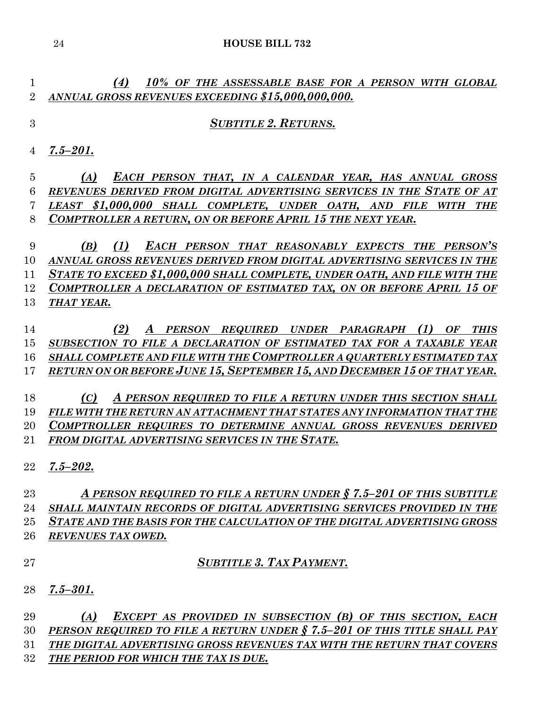*(4) 10% OF THE ASSESSABLE BASE FOR A PERSON WITH GLOBAL ANNUAL GROSS REVENUES EXCEEDING \$15,000,000,000.*

#### *SUBTITLE 2. RETURNS.*

*7.5–201.*

 *(A) EACH PERSON THAT, IN A CALENDAR YEAR, HAS ANNUAL GROSS REVENUES DERIVED FROM DIGITAL ADVERTISING SERVICES IN THE STATE OF AT LEAST \$1,000,000 SHALL COMPLETE, UNDER OATH, AND FILE WITH THE COMPTROLLER A RETURN, ON OR BEFORE APRIL 15 THE NEXT YEAR.*

 *(B) (1) EACH PERSON THAT REASONABLY EXPECTS THE PERSON'S ANNUAL GROSS REVENUES DERIVED FROM DIGITAL ADVERTISING SERVICES IN THE STATE TO EXCEED \$1,000,000 SHALL COMPLETE, UNDER OATH, AND FILE WITH THE COMPTROLLER A DECLARATION OF ESTIMATED TAX, ON OR BEFORE APRIL 15 OF THAT YEAR.*

 *(2) A PERSON REQUIRED UNDER PARAGRAPH (1) OF THIS SUBSECTION TO FILE A DECLARATION OF ESTIMATED TAX FOR A TAXABLE YEAR SHALL COMPLETE AND FILE WITH THE COMPTROLLER A QUARTERLY ESTIMATED TAX RETURN ON OR BEFORE JUNE 15, SEPTEMBER 15, AND DECEMBER 15 OF THAT YEAR.*

 *(C) A PERSON REQUIRED TO FILE A RETURN UNDER THIS SECTION SHALL FILE WITH THE RETURN AN ATTACHMENT THAT STATES ANY INFORMATION THAT THE COMPTROLLER REQUIRES TO DETERMINE ANNUAL GROSS REVENUES DERIVED FROM DIGITAL ADVERTISING SERVICES IN THE STATE.*

*7.5–202.*

 *A PERSON REQUIRED TO FILE A RETURN UNDER § 7.5–201 OF THIS SUBTITLE SHALL MAINTAIN RECORDS OF DIGITAL ADVERTISING SERVICES PROVIDED IN THE STATE AND THE BASIS FOR THE CALCULATION OF THE DIGITAL ADVERTISING GROSS REVENUES TAX OWED.*

- *SUBTITLE 3. TAX PAYMENT.*
- *7.5–301.*

 *(A) EXCEPT AS PROVIDED IN SUBSECTION (B) OF THIS SECTION, EACH PERSON REQUIRED TO FILE A RETURN UNDER § 7.5–201 OF THIS TITLE SHALL PAY THE DIGITAL ADVERTISING GROSS REVENUES TAX WITH THE RETURN THAT COVERS THE PERIOD FOR WHICH THE TAX IS DUE.*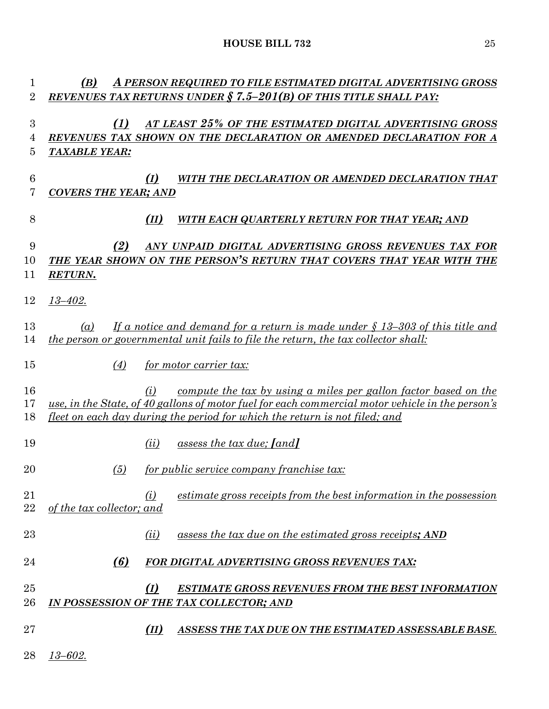| 1                          | A PERSON REQUIRED TO FILE ESTIMATED DIGITAL ADVERTISING GROSS<br>(B)                                                                                                                                                                                                   |
|----------------------------|------------------------------------------------------------------------------------------------------------------------------------------------------------------------------------------------------------------------------------------------------------------------|
| $\overline{2}$             | <b>REVENUES TAX RETURNS UNDER § 7.5-201(B) OF THIS TITLE SHALL PAY:</b>                                                                                                                                                                                                |
| $\boldsymbol{3}$<br>4<br>5 | (1)<br>AT LEAST 25% OF THE ESTIMATED DIGITAL ADVERTISING GROSS<br>REVENUES TAX SHOWN ON THE DECLARATION OR AMENDED DECLARATION FOR A<br><b>TAXABLE YEAR:</b>                                                                                                           |
| $6\phantom{.}6$<br>7       | (I)<br>WITH THE DECLARATION OR AMENDED DECLARATION THAT<br><b>COVERS THE YEAR; AND</b>                                                                                                                                                                                 |
| 8                          | (II)<br>WITH EACH QUARTERLY RETURN FOR THAT YEAR; AND                                                                                                                                                                                                                  |
| 9<br>10<br>11              | (2)<br>ANY UNPAID DIGITAL ADVERTISING GROSS REVENUES TAX FOR<br>THE YEAR SHOWN ON THE PERSON'S RETURN THAT COVERS THAT YEAR WITH THE<br><b>RETURN.</b>                                                                                                                 |
| 12                         | $13 - 402.$                                                                                                                                                                                                                                                            |
| 13<br>14                   | If a notice and demand for a return is made under $\S$ 13–303 of this title and<br>(a)<br>the person or governmental unit fails to file the return, the tax collector shall:                                                                                           |
| 15                         | (4)<br>for motor carrier tax:                                                                                                                                                                                                                                          |
| 16<br>17<br>18             | <u>compute the tax by using a miles per gallon factor based on the</u><br>(i)<br>use, in the State, of 40 gallons of motor fuel for each commercial motor vehicle in the person's<br><u>fleet on each day during the period for which the return is not filed; and</u> |
| 19                         | assess the tax due; [and]<br>(ii)                                                                                                                                                                                                                                      |
| 20                         | for public service company franchise tax:<br>(5)                                                                                                                                                                                                                       |
| 21<br>22                   | estimate gross receipts from the best information in the possession<br>(i)<br>of the tax collector; and                                                                                                                                                                |
| 23                         | assess the tax due on the estimated gross receipts; AND<br>(ii)                                                                                                                                                                                                        |
| 24                         | (6)<br><b>FOR DIGITAL ADVERTISING GROSS REVENUES TAX:</b>                                                                                                                                                                                                              |
| 25<br>26                   | (I)<br><b>ESTIMATE GROSS REVENUES FROM THE BEST INFORMATION</b><br>IN POSSESSION OF THE TAX COLLECTOR; AND                                                                                                                                                             |
| 27                         | (II)<br>ASSESS THE TAX DUE ON THE ESTIMATED ASSESSABLE BASE.                                                                                                                                                                                                           |
| 28                         | $13 - 602.$                                                                                                                                                                                                                                                            |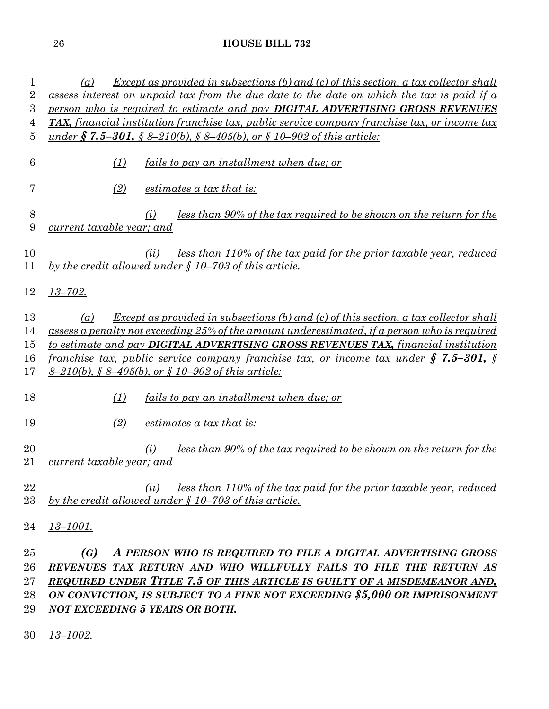| 1<br>$\overline{2}$ | Except as provided in subsections (b) and (c) of this section, a tax collector shall<br>(a)<br>assess interest on unpaid tax from the due date to the date on which the tax is paid if a |  |  |
|---------------------|------------------------------------------------------------------------------------------------------------------------------------------------------------------------------------------|--|--|
| 3                   | person who is required to estimate and pay <b>DIGITAL ADVERTISING GROSS REVENUES</b>                                                                                                     |  |  |
| 4                   | <b>TAX</b> , financial institution franchise tax, public service company franchise tax, or income tax                                                                                    |  |  |
| 5                   | <u>under § 7.5–301, § 8–210(b), § 8–405(b), or § 10–902 of this article:</u>                                                                                                             |  |  |
|                     |                                                                                                                                                                                          |  |  |
| 6                   | (1)<br>fails to pay an installment when due: or                                                                                                                                          |  |  |
|                     |                                                                                                                                                                                          |  |  |
| 7                   | (2)<br>estimates a tax that is:                                                                                                                                                          |  |  |
|                     |                                                                                                                                                                                          |  |  |
| 8                   | <u>less than 90% of the tax required to be shown on the return for the</u><br>(i)                                                                                                        |  |  |
| 9                   | current taxable year; and                                                                                                                                                                |  |  |
|                     |                                                                                                                                                                                          |  |  |
| 10                  | less than 110% of the tax paid for the prior taxable year, reduced<br>(ii)                                                                                                               |  |  |
| 11                  | by the credit allowed under $\frac{6}{7}$ 10–703 of this article.                                                                                                                        |  |  |
|                     |                                                                                                                                                                                          |  |  |
| 12                  | $13 - 702.$                                                                                                                                                                              |  |  |
|                     |                                                                                                                                                                                          |  |  |
| 13                  | <b>Except as provided in subsections (b) and (c) of this section, a tax collector shall</b><br>(a)                                                                                       |  |  |
| 14                  | assess a penalty not exceeding 25% of the amount underestimated, if a person who is required                                                                                             |  |  |
| 15                  | to estimate and pay <b>DIGITAL ADVERTISING GROSS REVENUES TAX</b> , financial institution                                                                                                |  |  |
| 16                  | <u>franchise tax, public service company franchise tax, or income tax under § 7.5–301, §</u>                                                                                             |  |  |
| 17                  | <u>8–210(b), § 8–405(b), or § 10–902 of this article:</u>                                                                                                                                |  |  |
|                     |                                                                                                                                                                                          |  |  |
| 18                  | <i>fails to pay an installment when due; or</i><br>(1)                                                                                                                                   |  |  |
|                     |                                                                                                                                                                                          |  |  |
| 19                  | (2)<br>estimates a tax that is:                                                                                                                                                          |  |  |
|                     |                                                                                                                                                                                          |  |  |
| $\overline{20}$     | <u>less than 90% of the tax required to be shown on the return for the</u><br>(i)                                                                                                        |  |  |
| 21                  | current taxable year; and                                                                                                                                                                |  |  |
|                     |                                                                                                                                                                                          |  |  |
| 22                  | less than 110% of the tax paid for the prior taxable year, reduced<br>(ii)                                                                                                               |  |  |
| $23\,$              | by the credit allowed under $\S$ 10–703 of this article.                                                                                                                                 |  |  |
|                     |                                                                                                                                                                                          |  |  |
| 24                  | <u>13–1001.</u>                                                                                                                                                                          |  |  |
|                     |                                                                                                                                                                                          |  |  |
| 25                  | A PERSON WHO IS REQUIRED TO FILE A DIGITAL ADVERTISING GROSS<br>(G)                                                                                                                      |  |  |
| $26\,$              | REVENUES TAX RETURN AND WHO WILLFULLY FAILS TO FILE THE RETURN AS                                                                                                                        |  |  |
| $27\,$              | REQUIRED UNDER TITLE 7.5 OF THIS ARTICLE IS GUILTY OF A MISDEMEANOR AND,                                                                                                                 |  |  |
| 28                  | ON CONVICTION, IS SUBJECT TO A FINE NOT EXCEEDING \$5,000 OR IMPRISONMENT                                                                                                                |  |  |
| 29                  | <b>NOT EXCEEDING 5 YEARS OR BOTH.</b>                                                                                                                                                    |  |  |
|                     |                                                                                                                                                                                          |  |  |

*13–1002.*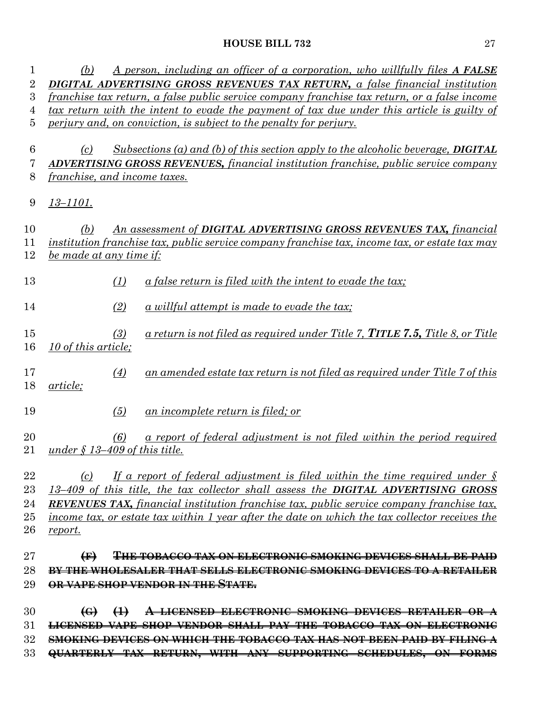| 1              | A person, including an officer of a corporation, who willfully files A FALSE<br>(b)                                                 |
|----------------|-------------------------------------------------------------------------------------------------------------------------------------|
| $\overline{2}$ | <b>DIGITAL ADVERTISING GROSS REVENUES TAX RETURN, a false financial institution</b>                                                 |
| 3              | franchise tax return, a false public service company franchise tax return, or a false income                                        |
| 4              | tax return with the intent to evade the payment of tax due under this article is guilty of                                          |
| 5              | perjury and, on conviction, is subject to the penalty for perjury.                                                                  |
| 6              | $Subsections (a) and (b) of this section apply to the alcoholic between the Algebra$<br>(c)                                         |
| 7              | <b>ADVERTISING GROSS REVENUES, financial institution franchise, public service company</b>                                          |
| 8              | <i>franchise, and income taxes.</i>                                                                                                 |
| 9              | <u>13–1101.</u>                                                                                                                     |
| 10             | An assessment of DIGITAL ADVERTISING GROSS REVENUES TAX, financial<br>(b)                                                           |
| 11             | institution franchise tax, public service company franchise tax, income tax, or estate tax may                                      |
| 12             | be made at any time if:                                                                                                             |
|                |                                                                                                                                     |
| 13             | (1)<br>a false return is filed with the intent to evade the tax;                                                                    |
| 14             | (2)<br>$a$ willful attempt is made to evade the tax;                                                                                |
| 15<br>16       | a return is not filed as required under Title 7, <b>TITLE 7.5,</b> Title 8, or Title<br>(3)<br>10 of this article;                  |
| 17<br>18       | an amended estate tax return is not filed as required under Title 7 of this<br>$\left(4\right)$<br>article;                         |
| 19             | (5)<br><u>an incomplete return is filed; or</u>                                                                                     |
| 20<br>21       | <u>a report of federal adjustment is not filed within the period required</u><br>(6)<br>under $\frac{\xi}{4}$ 13-409 of this title. |
| 22             | If a report of federal adjustment is filed within the time required under $\delta$<br>(c)                                           |
| $23\,$         | 13-409 of this title, the tax collector shall assess the DIGITAL ADVERTISING GROSS                                                  |
| 24             | <b>REVENUES TAX,</b> financial institution franchise tax, public service company franchise tax,                                     |
| $25\,$         | income tax, or estate tax within 1 year after the date on which the tax collector receives the                                      |
| 26             | report.                                                                                                                             |
| $27\,$         | $\bigoplus$<br>THE TOBACCO TAX ON ELECTRONIC SMOKING DEVICES SHAL                                                                   |
| 28             | <b>BY THE WHOL</b><br>THAT SELLS ELECTRONIC SMOKING DEVICES TO A RETAILER                                                           |
| 29             | OR VAPE SHOP VENDOR IN THE STATE.                                                                                                   |
| 30             | $\left(\Theta\right)$<br>$\leftrightarrow$<br>SMOKING DEVICES RETAILER                                                              |
| 31             |                                                                                                                                     |
| $32\,$         | TAX HAS NOT BEEN PAID BY FILING A                                                                                                   |
|                |                                                                                                                                     |

**QUARTERLY TAX RETURN, WITH ANY SUPPORTING SCHEDULES, ON FORMS**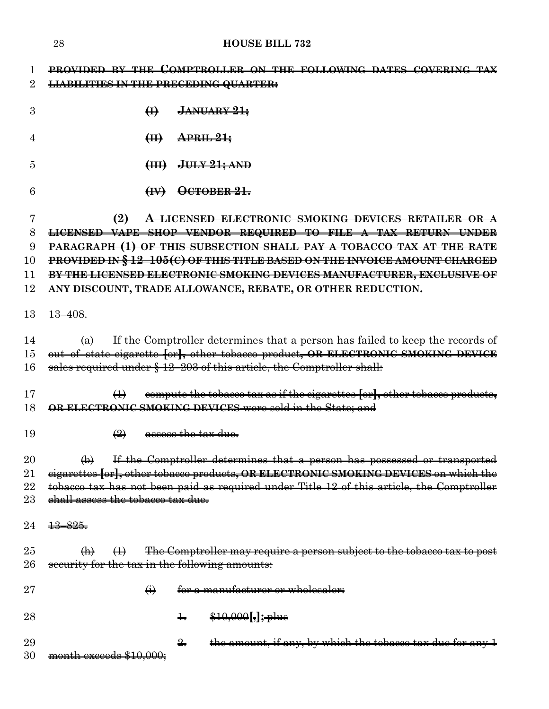|                     | 28<br><b>HOUSE BILL 732</b>                                                                                                                                                                                        |
|---------------------|--------------------------------------------------------------------------------------------------------------------------------------------------------------------------------------------------------------------|
| 1<br>$\overline{2}$ | <b>PROVIDED BY THE COMPTROLLER ON THE FOLLOWING DATES COVERING TAX</b><br><b>LIABILITIES IN THE PRECEDING QUARTER:</b>                                                                                             |
| 3                   | $\bigoplus$ JANUARY 21;                                                                                                                                                                                            |
| 4                   | $(H)$ APRIL 21;                                                                                                                                                                                                    |
| 5                   | $(HH)$ JULY 21; AND                                                                                                                                                                                                |
| 6                   | $H$ ) OCTOBER 21.                                                                                                                                                                                                  |
| 7<br>8<br>9         | $\bigoplus$<br>A LICENSED ELECTRONIC SMOKING DEVICES RETAILER OR A<br><b>LICENSED VAPE SHOP VENDOR REQUIRED TO FILE A TAX RETURN UNDER</b><br>PARAGRAPH (1) OF THIS SUBSECTION SHALL PAY A TOBACCO TAX AT THE RATE |
| 10                  | PROVIDED IN § 12-105(C) OF THIS TITLE BASED ON THE INVOICE AMOUNT CHARGED                                                                                                                                          |
| 11                  | BY THE LICENSED ELECTRONIC SMOKING DEVICES MANUFACTURER, EXCLUSIVE OF                                                                                                                                              |
| 12                  | ANY DISCOUNT, TRADE ALLOWANCE, REBATE, OR OTHER REDUCTION.                                                                                                                                                         |
| 13                  | $\frac{13 - 408}{5}$                                                                                                                                                                                               |
| 14                  | If the Comptroller determines that a person has failed to keep the records of<br>$\leftrightarrow$                                                                                                                 |
| 15                  | out of state cigarette [or], other tobacco product, OR ELECTRONIC SMOKING DEVICE                                                                                                                                   |
| 16                  | sales required under § 12-203 of this article, the Comptroller shall:                                                                                                                                              |
| 17                  | compute the tobacco tax as if the cigarettes [or], other tobacco products,<br>$\leftrightarrow$                                                                                                                    |
| 18                  | OR ELECTRONIC SMOKING DEVICES were sold in the State; and                                                                                                                                                          |
| 19                  | $\left(\frac{2}{2}\right)$ assess the tax due.                                                                                                                                                                     |
| 20                  | If the Comptroller determines that a person has possessed or transported<br>$\bigoplus$                                                                                                                            |
| 21                  | eigarettes [or], other tobacco products, OR ELECTRONIC SMOKING DEVICES on which the                                                                                                                                |
| 22                  | tobacco tax has not been paid as required under Title 12 of this article, the Comptroller                                                                                                                          |
| $23\,$              | shall assess the tobacco tax due.                                                                                                                                                                                  |
| 24                  | $\frac{13}{5} - 825.$                                                                                                                                                                                              |
| 25                  | The Comptroller may require a person subject to the tobacco tax to post<br>$\leftrightarrow$<br>$\langle \mathbf{h} \rangle$                                                                                       |
| $26\,$              | security for the tax in the following amounts:                                                                                                                                                                     |
| $27\,$              | $\bigoplus$<br>for a manufacturer or wholesaler:                                                                                                                                                                   |
| 28                  | \$10,000 [, ]; plus<br>╈╤                                                                                                                                                                                          |
| 29                  | the amount, if any, by which the tobacco tax due for any 1<br>$\frac{9}{2}$                                                                                                                                        |
| 30                  | month exceeds \$10,000;                                                                                                                                                                                            |
|                     |                                                                                                                                                                                                                    |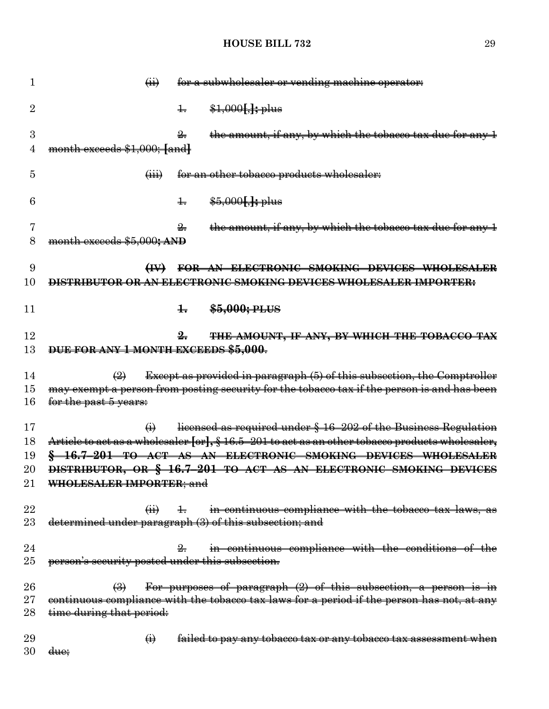| $\overleftrightarrow{H}$    |                       | for a subwholesaler or vending machine operator:                                                                                                                                                                                            |
|-----------------------------|-----------------------|---------------------------------------------------------------------------------------------------------------------------------------------------------------------------------------------------------------------------------------------|
|                             | $\pm$                 | $\frac{$1,000[,]}{1,000[,]}$                                                                                                                                                                                                                |
|                             |                       | the amount, if any, by which the tobacco tax due for any 1                                                                                                                                                                                  |
|                             |                       |                                                                                                                                                                                                                                             |
| $\overline{(\mathbf{iii})}$ |                       | for an other tobacco products wholesaler:                                                                                                                                                                                                   |
|                             | $\pm$                 | $$5,000$ , $\frac{1}{2}$ plus                                                                                                                                                                                                               |
|                             | $\frac{9}{2}$         | the amount, if any, by which the tobacco tax due for any 4                                                                                                                                                                                  |
|                             |                       |                                                                                                                                                                                                                                             |
| $\leftrightarrow$           |                       | FOR AN ELECTRONIC SMOKING DEVICES WHOLESALER                                                                                                                                                                                                |
|                             |                       | IBUTOR OR AN ELECTRONIC SMOKING DEVICES WHOLESALER IMPORTER:                                                                                                                                                                                |
|                             | $\pm$                 | \$5,000; PLUS                                                                                                                                                                                                                               |
|                             | $\frac{9}{2}$         | THE AMOUNT, IF ANY, BY WHICH THE TOBACCO TAX                                                                                                                                                                                                |
|                             |                       |                                                                                                                                                                                                                                             |
| $\left(\frac{9}{2}\right)$  |                       | <b>Except as provided in paragraph (5) of this subsection, the Comptroller</b>                                                                                                                                                              |
|                             |                       | may exempt a person from posting security for the tobacco tax if the person is and has been                                                                                                                                                 |
|                             |                       |                                                                                                                                                                                                                                             |
| $\leftrightarrow$           |                       | licensed as required under § 16-202 of the Business Regulation                                                                                                                                                                              |
|                             |                       | Article to act as a wholesaler [or], § 16.5-201 to act as an other tobacco products wholesaler,                                                                                                                                             |
|                             |                       | 16.7-201 TO ACT AS AN ELECTRONIC SMOKING DEVICES WHOLESALER                                                                                                                                                                                 |
|                             |                       | DISTRIBUTOR, OR § 16.7-201 TO ACT AS AN ELECTRONIC SMOKING DEVICES                                                                                                                                                                          |
|                             |                       |                                                                                                                                                                                                                                             |
| $\overrightarrow{41}$       | $\pm$                 | in continuous compliance with the tobacco tax laws, as                                                                                                                                                                                      |
|                             |                       |                                                                                                                                                                                                                                             |
|                             |                       | in continuous compliance with the conditions of the                                                                                                                                                                                         |
|                             |                       |                                                                                                                                                                                                                                             |
| $\bigoplus$                 |                       | For purposes of paragraph $(2)$ of this subsection, a person is in                                                                                                                                                                          |
|                             |                       | continuous compliance with the tobacco tax laws for a period if the person has not, at any                                                                                                                                                  |
| time during that period:    |                       |                                                                                                                                                                                                                                             |
|                             |                       |                                                                                                                                                                                                                                             |
| $\bigoplus$                 |                       | failed to pay any tobacco tax or any tobacco tax assessment when                                                                                                                                                                            |
|                             | for the past 5 years: | month exceeds \$1,000; [and]<br>month exceeds \$5,000; AND<br>DUE FOR ANY 1 MONTH EXCEEDS \$5,000.<br>WHOLESALER IMPORTER; and<br>determined under paragraph (3) of this subsection; and<br>person's security posted under this subsection. |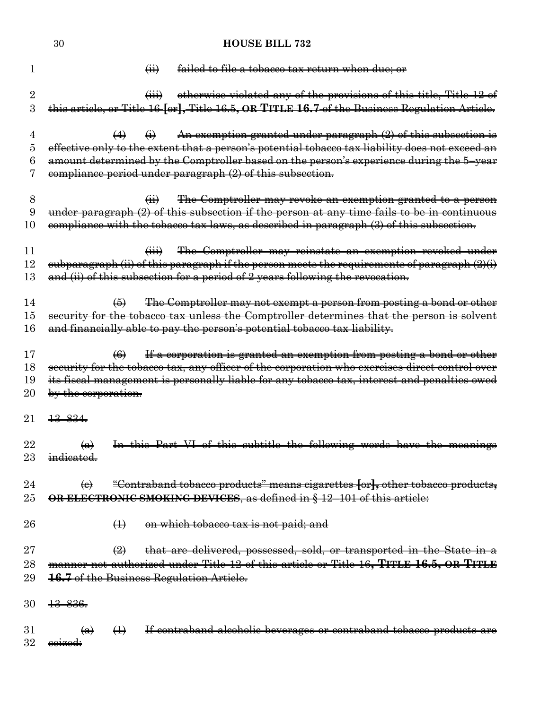|                     | 30                        |                                            |                               | <b>HOUSE BILL 732</b>                                                                                                                                                |
|---------------------|---------------------------|--------------------------------------------|-------------------------------|----------------------------------------------------------------------------------------------------------------------------------------------------------------------|
| 1                   |                           |                                            | $\overline{a}$                | failed to file a tobacco tax return when due; or                                                                                                                     |
| $\overline{2}$<br>3 |                           |                                            | $\overline{(\overline{iii})}$ | otherwise violated any of the provisions of this title, Title 12 of<br>this article, or Title 16 [or], Title 16.5, OR TITLE 16.7 of the Business Regulation Article. |
|                     |                           |                                            |                               |                                                                                                                                                                      |
| 4                   |                           | $\leftrightarrow$                          | $\ddot{\Theta}$               | An exemption granted under paragraph $(2)$ of this subsection is<br>effective only to the extent that a person's potential tobacco tax liability does not exceed an  |
| 5<br>6              |                           |                                            |                               | amount determined by the Comptroller based on the person's experience during the 5-year                                                                              |
| 7                   |                           |                                            |                               | eompliance period under paragraph (2) of this subsection.                                                                                                            |
| 8                   |                           |                                            | $\overleftrightarrow{H}$      | The Comptroller may revoke an exemption granted to a person                                                                                                          |
| 9                   |                           |                                            |                               | under paragraph (2) of this subsection if the person at any time fails to be in continuous                                                                           |
| 10                  |                           |                                            |                               | compliance with the tobacco tax laws, as described in paragraph (3) of this subsection.                                                                              |
| 11                  |                           |                                            | $\overline{(\mathbf{iii})}$   | The Comptroller may reinstate an exemption revoked under                                                                                                             |
| 12                  |                           |                                            |                               | subparagraph (ii) of this paragraph if the person meets the requirements of paragraph (2)(i)                                                                         |
| 13                  |                           |                                            |                               | and (ii) of this subsection for a period of 2 years following the revocation.                                                                                        |
| 14                  |                           | $\left( 6 \right)$                         |                               | The Comptroller may not exempt a person from posting a bond or other                                                                                                 |
| 15                  |                           |                                            |                               | security for the tobacco tax unless the Comptroller determines that the person is solvent                                                                            |
| 16                  |                           |                                            |                               | and financially able to pay the person's potential tobacco tax liability.                                                                                            |
| 17                  |                           | $\left( 6 \right)$                         |                               | If a corporation is granted an exemption from posting a bond or other                                                                                                |
| 18                  |                           |                                            |                               | security for the tobacco tax, any officer of the corporation who exercises direct control over                                                                       |
| 19                  |                           |                                            |                               | its fiscal management is personally liable for any tobacco tax, interest and penalties owed                                                                          |
| 20                  | by the corporation.       |                                            |                               |                                                                                                                                                                      |
| 21                  | $+3-834.$                 |                                            |                               |                                                                                                                                                                      |
| 22                  | $\leftrightarrow$         |                                            |                               | In this Part VI of this subtitle the following words have the meanings                                                                                               |
| 23                  | indicated.                |                                            |                               |                                                                                                                                                                      |
| 24                  | $\Theta$                  |                                            |                               | "Contraband tobacco products" means cigarettes [or], other tobacco products,                                                                                         |
| $25\,$              |                           |                                            |                               | OR ELECTRONIC SMOKING DEVICES, as defined in § 12-101 of this article:                                                                                               |
| 26                  |                           | $\leftrightarrow$                          |                               | on which tobacco tax is not paid; and                                                                                                                                |
| 27                  |                           | $\left(\frac{\partial}{\partial x}\right)$ |                               | that are delivered, possessed, sold, or transported in the State in a                                                                                                |
| 28                  |                           |                                            |                               | manner not authorized under Title 12 of this article or Title 16, TITLE 16.5, OR TITLE                                                                               |
| 29                  |                           |                                            |                               | 16.7 of the Business Regulation Article.                                                                                                                             |
| 30                  | <del>13 836.</del>        |                                            |                               |                                                                                                                                                                      |
| $31\,$              | $\left(\mathbf{a}\right)$ | $\leftrightarrow$                          |                               | If contraband alcoholic beverages or contraband tobacco products are                                                                                                 |
| 32                  | seized:                   |                                            |                               |                                                                                                                                                                      |
|                     |                           |                                            |                               |                                                                                                                                                                      |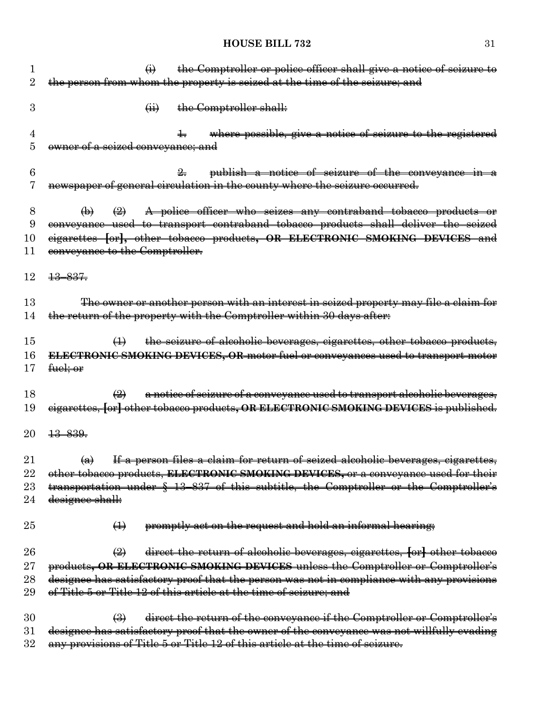|         | the Comptroller or police officer shall give a notice of seizure to<br>$\ddot{\Theta}$                                                                                                 |
|---------|----------------------------------------------------------------------------------------------------------------------------------------------------------------------------------------|
| 2       | the person from whom the property is seized at the time of the seizure; and                                                                                                            |
| 3       | the Comptroller shall:<br>$\overline{a}$                                                                                                                                               |
|         |                                                                                                                                                                                        |
| 4       | where possible, give a notice of seizure to the registered                                                                                                                             |
| 5       | owner of a seized conveyance; and                                                                                                                                                      |
| 6       | publish a notice of seizure of the conveyance in a                                                                                                                                     |
|         | newspaper of general circulation in the county where the seizure occurred.                                                                                                             |
|         |                                                                                                                                                                                        |
| 8       | A police officer who seizes any contraband tobacco products or<br>$\leftrightarrow$<br>$\bigoplus$                                                                                     |
| 9       | conveyance used to transport contraband tobacco products shall deliver the seized                                                                                                      |
| 10      | eigarettes [or], other tobacco products, OR ELECTRONIC SMOKING DEVICES and                                                                                                             |
| 11      | conveyance to the Comptroller.                                                                                                                                                         |
| 12      | $+3-837$                                                                                                                                                                               |
|         |                                                                                                                                                                                        |
| 13      | The owner or another person with an interest in seized property may file a claim for                                                                                                   |
| 14      | the return of the property with the Comptroller within 30 days after:                                                                                                                  |
| 15      | the seizure of alcoholic beverages, eigarettes, other tobacco products,<br>$\bigoplus$                                                                                                 |
| 16      | ELECTRONIC SMOKING DEVICES, OR motor fuel or conveyances used to transport motor                                                                                                       |
| $17\,$  | fuel; or                                                                                                                                                                               |
| 18      | a notice of seizure of a conveyance used to transport alcoholic beverages,<br>$\bigoplus$                                                                                              |
|         | eigarettes, [or] other tobacco products, OR ELECTRONIC SMOKING DEVICES is published.                                                                                                   |
| 19      |                                                                                                                                                                                        |
| 20      | <del>13 839.</del>                                                                                                                                                                     |
| 21      | If a person files a claim for return of seized alcoholic beverages, cigarettes,<br>$\left( a\right)$                                                                                   |
| 22      | other tobacco products, ELECTRONIC SMOKING DEVICES, or a conveyance used for their                                                                                                     |
| $23\,$  | transportation under § 13-837 of this subtitle, the Comptroller or the Comptroller's                                                                                                   |
| 24      | designee shall:                                                                                                                                                                        |
|         |                                                                                                                                                                                        |
| 25      | promptly act on the request and hold an informal hearing;<br>$\leftrightarrow$                                                                                                         |
| 26      | $\left(\frac{1}{2}\right)$<br>direct the return of alcoholic beverages, eigarettes, [or] other tobacco                                                                                 |
| $27\,$  | products, OR ELECTRONIC SMOKING DEVICES unless the Comptroller or Comptroller's                                                                                                        |
| $^{28}$ | designee has satisfactory proof that the person was not in compliance with any provisions                                                                                              |
| 29      | of Title 5 or Title 12 of this article at the time of seizure; and                                                                                                                     |
|         |                                                                                                                                                                                        |
| 30      | direct the return of the conveyance if the Comptroller or Comptroller's<br>$\left(\frac{1}{2}\right)$<br>satisfactory proof that the owner of the conveyance was not willfully evading |
| $31\,$  |                                                                                                                                                                                        |

any provisions of Title 5 or Title 12 of this article at the time of seizure.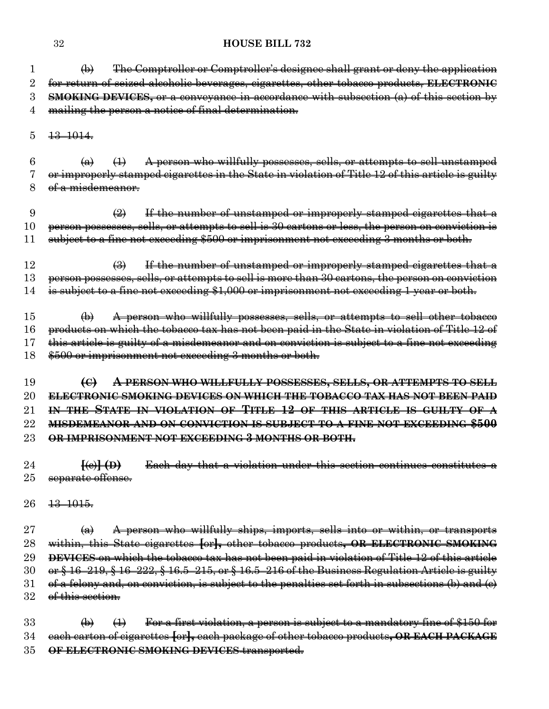(b) The Comptroller or Comptroller's designee shall grant or deny the application for return of seized alcoholic beverages, cigarettes, other tobacco products, **ELECTRONIC SMOKING DEVICES,** or a conveyance in accordance with subsection (a) of this section by mailing the person a notice of final determination.

 $5 \quad \frac{13 - 1014}{12}$ 

6  $\left(\frac{a}{b}\right)$   $\left(\frac{1}{c}\right)$  A person who willfully possesses, sells, or attempts to sell unstamped or improperly stamped cigarettes in the State in violation of Title 12 of this article is guilty 8 of a misdemeanor.

9  $\left(2\right)$  If the number of unstamped or improperly stamped cigarettes that a person possesses, sells, or attempts to sell is 30 cartons or less, the person on conviction is subject to a fine not exceeding \$500 or imprisonment not exceeding 3 months or both.

 $\frac{12}{12}$  (3) If the number of unstamped or improperly stamped cigarettes that a person possesses, sells, or attempts to sell is more than 30 cartons, the person on conviction is subject to a fine not exceeding \$1,000 or imprisonment not exceeding 1 year or both.

 $15 \rightarrow \Theta$  A person who willfully possesses, sells, or attempts to sell other tobacco products on which the tobacco tax has not been paid in the State in violation of Title 12 of this article is guilty of a misdemeanor and on conviction is subject to a fine not exceeding \$500 or imprisonment not exceeding 3 months or both.

 **(C) A PERSON WHO WILLFULLY POSSESSES, SELLS, OR ATTEMPTS TO SELL ELECTRONIC SMOKING DEVICES ON WHICH THE TOBACCO TAX HAS NOT BEEN PAID IN THE STATE IN VIOLATION OF TITLE 12 OF THIS ARTICLE IS GUILTY OF A MISDEMEANOR AND ON CONVICTION IS SUBJECT TO A FINE NOT EXCEEDING \$500 OR IMPRISONMENT NOT EXCEEDING 3 MONTHS OR BOTH.**

 **[**(c)**] (D)** Each day that a violation under this section continues constitutes a 25 separate offense.

13–1015.

27  $\left( a \right)$  A person who willfully ships, imports, sells into or within, or transports within, this State cigarettes **[**or**],** other tobacco products**, OR ELECTRONIC SMOKING DEVICES** on which the tobacco tax has not been paid in violation of Title 12 of this article 30 or § 16–219, § 16–222, § 16.5–215, or § 16.5–216 of the Business Regulation Article is guilty 31 of a felony and, on conviction, is subject to the penalties set forth in subsections (b) and  $(e)$ 32 of this section.

 $33 \rightarrow \Theta$  (b) (1) For a first violation, a person is subject to a mandatory fine of \$150 for each carton of cigarettes **[**or**],** each package of other tobacco products**, OR EACH PACKAGE OF ELECTRONIC SMOKING DEVICES** transported.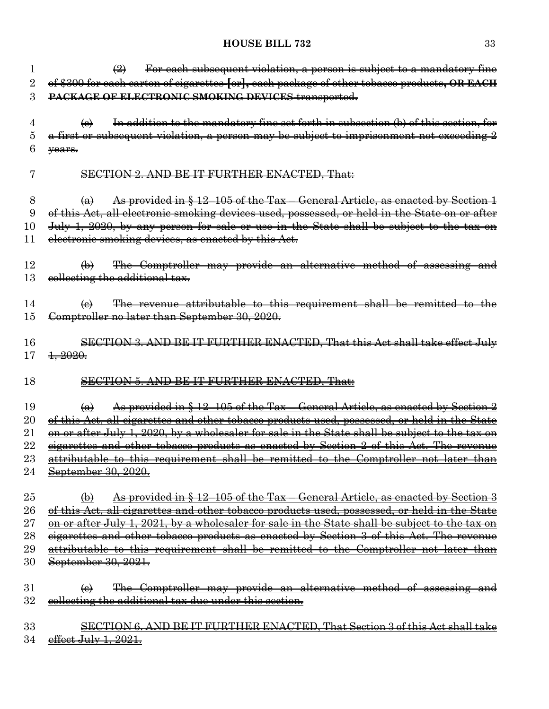| $\mathbf{I}$ | For each subsequent violation, a person is subject to a mandatory fine<br>$\bigoplus$                           |
|--------------|-----------------------------------------------------------------------------------------------------------------|
| $\rm{2}$     | of \$300 for each carton of cigarettes [or], each package of other tobacco products, OR EACH                    |
| 3            | PACKAGE OF ELECTRONIC SMOKING DEVICES transported.                                                              |
| 4            | In addition to the mandatory fine set forth in subsection (b) of this section, for<br>$\Theta$                  |
| 5            | a first or subsequent violation, a person may be subject to imprisonment not exceeding 2                        |
| 6            | vears.                                                                                                          |
| 7            | <b>SECTION 2. AND BE IT FURTHER ENACTED, That:</b>                                                              |
| 8            | As provided in § 12-105 of the Tax – General Article, as enacted by Section 1<br>$\bigoplus$                    |
| 9            | of this Act, all electronic smoking devices used, possessed, or held in the State on or after                   |
| $10\,$       | July 1, 2020, by any person for sale or use in the State shall be subject to the tax on                         |
| 11           | electronic smoking devices, as enacted by this Act.                                                             |
| 12           | The Comptroller may provide an alternative method of assessing and<br>$\bigoplus$                               |
| 13           | collecting the additional tax.                                                                                  |
|              |                                                                                                                 |
| 14           | The revenue attributable to this requirement shall be remitted to the<br>$\Theta$                               |
| 15           | Comptroller no later than September 30, 2020.                                                                   |
|              |                                                                                                                 |
| 16           | SECTION 3. AND BE IT FURTHER ENACTED, That this Act shall take effect July                                      |
| 17           | $\frac{1}{2020}$                                                                                                |
| 18           | <b>SECTION 5. AND BE IT FURTHER ENACTED, That:</b>                                                              |
| 19           | <u>As provided in § 12–105 of the Tax – General Article, as enacted by Section 2</u><br>$\left( \Theta \right)$ |
| $20\,$       | Act, all cigarettes and other tobacco products used, possessed, or held in the State<br><del>of this</del>      |
| $21\,$       | <u>on or after July 1, 2020, by a wholesaler for sale in the State shall be subject to the tax on</u>           |
| 22           | eigarettes and other tobacco products as enacted by Section 2 of this Act. The revenue                          |
| 23           | attributable to this requirement shall be remitted to the Comptroller not later than                            |
| 24           | September 30, 2020.                                                                                             |
|              |                                                                                                                 |
| 25           | As provided in § 12–105 of the Tax – General Article, as enacted by Section 3<br>$\bigoplus$                    |
| 26           | <u>of this Act, all cigarettes and other tobacco products used, possessed, or held in the State</u>             |
| $27\,$       | 2021, by a wholesaler for sale in the State shall be subject to the tax on                                      |
| 28           | <del>other tobacco products as enacted by</del>                                                                 |
| 29           | this requirement shall be<br><del>remitted to</del>                                                             |
| 30           | <del>September 30, 2021.</del>                                                                                  |
| 31           | The Comptroller may provide an alternative method<br>$\left(\mathbf{e}\right)$<br><del>of assessing</del>       |
| 32           | collecting the additional tax due under this section.                                                           |
|              |                                                                                                                 |
| 33           | SECTION 6. AND BE IT FURTHER ENACTED. That Section 3 of this Act shall take                                     |
| 34           | effect July 1, 2021.                                                                                            |
|              |                                                                                                                 |